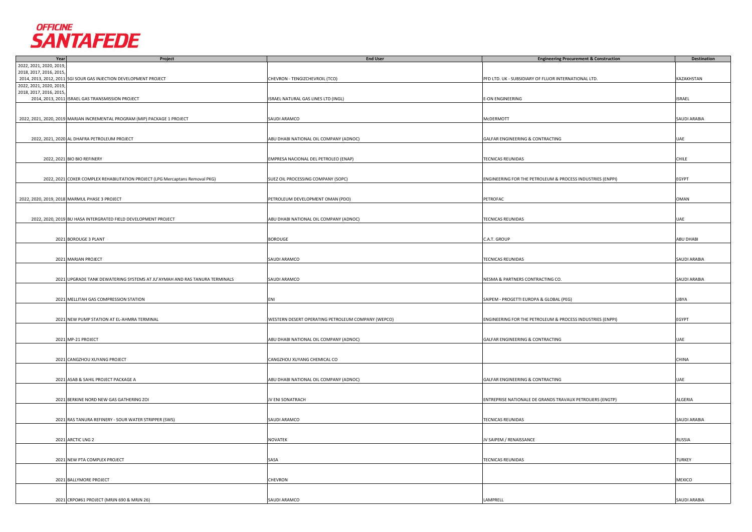

| Year                    | <b>Project</b>                                                               | <b>End User</b>                                    | <b>Engineering Procurement &amp; Construction</b>          | <b>Destination</b>  |
|-------------------------|------------------------------------------------------------------------------|----------------------------------------------------|------------------------------------------------------------|---------------------|
| 2022, 2021, 2020, 2019, |                                                                              |                                                    |                                                            |                     |
| 2018, 2017, 2016, 2015, |                                                                              |                                                    |                                                            |                     |
|                         | 2014, 2013, 2012, 2011 SGI SOUR GAS INJECTION DEVELOPMENT PROJECT            | CHEVRON - TENGIZCHEVROIL (TCO)                     | PFD LTD. UK - SUBSIDIARY OF FLUOR INTERNATIONAL LTD.       | KAZAKHSTAN          |
| 2022, 2021, 2020, 2019, |                                                                              |                                                    |                                                            |                     |
| 2018, 2017, 2016, 2015, |                                                                              |                                                    |                                                            |                     |
|                         |                                                                              |                                                    |                                                            |                     |
|                         | 2014, 2013, 2011 ISRAEL GAS TRANSMISSION PROJECT                             | ISRAEL NATURAL GAS LINES LTD (INGL)                | <b>E-ON ENGINEERING</b>                                    | <b>ISRAEL</b>       |
|                         |                                                                              |                                                    |                                                            |                     |
|                         |                                                                              |                                                    |                                                            |                     |
|                         | 2022, 2021, 2020, 2019 MARJAN INCREMENTAL PROGRAM (MIP) PACKAGE 1 PROJECT    | SAUDI ARAMCO                                       | McDERMOTT                                                  | SAUDI ARABIA        |
|                         |                                                                              |                                                    |                                                            |                     |
|                         |                                                                              |                                                    |                                                            |                     |
|                         | 2022, 2021, 2020 AL DHAFRA PETROLEUM PROJECT                                 | ABU DHABI NATIONAL OIL COMPANY (ADNOC)             | GALFAR ENGINEERING & CONTRACTING                           | UAE                 |
|                         |                                                                              |                                                    |                                                            |                     |
|                         |                                                                              |                                                    |                                                            |                     |
|                         |                                                                              |                                                    |                                                            |                     |
|                         | 2022, 2021 BIO BIO REFINERY                                                  | EMPRESA NACIONAL DEL PETROLEO (ENAP)               | <b>TECNICAS REUNIDAS</b>                                   | <b>CHILE</b>        |
|                         |                                                                              |                                                    |                                                            |                     |
|                         |                                                                              |                                                    |                                                            |                     |
|                         | 2022, 2021 COKER COMPLEX REHABILITATION PROJECT (LPG Mercaptans Removal PKG) | SUEZ OIL PROCESSING COMPANY (SOPC)                 | ENGINEERING FOR THE PETROLEUM & PROCESS INDUSTRIES (ENPPI) | EGYPT               |
|                         |                                                                              |                                                    |                                                            |                     |
|                         |                                                                              |                                                    |                                                            |                     |
|                         | 2022, 2020, 2019, 2018 MARMUL PHASE 3 PROJECT                                | PETROLEUM DEVELOPMENT OMAN (PDO)                   | PETROFAC                                                   | <b>OMAN</b>         |
|                         |                                                                              |                                                    |                                                            |                     |
|                         |                                                                              |                                                    |                                                            |                     |
|                         |                                                                              |                                                    |                                                            |                     |
|                         | 2022, 2020, 2019 BU HASA INTERGRATED FIELD DEVELOPMENT PROJECT               | ABU DHABI NATIONAL OIL COMPANY (ADNOC)             | TECNICAS REUNIDAS                                          | UAE                 |
|                         |                                                                              |                                                    |                                                            |                     |
|                         |                                                                              |                                                    |                                                            |                     |
|                         | 2021 BOROUGE 3 PLANT                                                         | <b>BOROUGE</b>                                     | C.A.T. GROUP                                               | ABU DHABI           |
|                         |                                                                              |                                                    |                                                            |                     |
|                         |                                                                              |                                                    |                                                            |                     |
|                         | 2021 MARJAN PROJECT                                                          | SAUDI ARAMCO                                       |                                                            |                     |
|                         |                                                                              |                                                    | <b>TECNICAS REUNIDAS</b>                                   | SAUDI ARABIA        |
|                         |                                                                              |                                                    |                                                            |                     |
|                         |                                                                              |                                                    |                                                            |                     |
|                         | 2021 UPGRADE TANK DEWATERING SYSTEMS AT JU'AYMAH AND RAS TANURA TERMINALS    | SAUDI ARAMCO                                       | NESMA & PARTNERS CONTRACTING CO.                           | <b>SAUDI ARABIA</b> |
|                         |                                                                              |                                                    |                                                            |                     |
|                         |                                                                              |                                                    |                                                            |                     |
|                         | 2021 MELLITAH GAS COMPRESSION STATION                                        | ENI                                                | SAIPEM - PROGETTI EUROPA & GLOBAL (PEG)                    | LIBYA               |
|                         |                                                                              |                                                    |                                                            |                     |
|                         |                                                                              |                                                    |                                                            |                     |
|                         |                                                                              |                                                    |                                                            |                     |
|                         | 2021 NEW PUMP STATION AT EL-AHMRA TERMINAL                                   | WESTERN DESERT OPERATING PETROLEUM COMPANY (WEPCO) | ENGINEERING FOR THE PETROLEUM & PROCESS INDUSTRIES (ENPPI) | EGYPT               |
|                         |                                                                              |                                                    |                                                            |                     |
|                         |                                                                              |                                                    |                                                            |                     |
|                         | 2021 MP-21 PROJECT                                                           | ABU DHABI NATIONAL OIL COMPANY (ADNOC)             | GALFAR ENGINEERING & CONTRACTING                           | UAE                 |
|                         |                                                                              |                                                    |                                                            |                     |
|                         |                                                                              |                                                    |                                                            |                     |
|                         | 2021 CANGZHOU XUYANG PROJECT                                                 | CANGZHOU XUYANG CHEMICAL CO                        |                                                            | <b>CHINA</b>        |
|                         |                                                                              |                                                    |                                                            |                     |
|                         |                                                                              |                                                    |                                                            |                     |
|                         |                                                                              |                                                    |                                                            |                     |
|                         | 2021 ASAB & SAHIL PROJECT PACKAGE A                                          | ABU DHABI NATIONAL OIL COMPANY (ADNOC)             | GALFAR ENGINEERING & CONTRACTING                           | UAE                 |
|                         |                                                                              |                                                    |                                                            |                     |
|                         |                                                                              |                                                    |                                                            |                     |
|                         | 2021 BERKINE NORD NEW GAS GATHERING ZOI                                      | JV ENI SONATRACH                                   | ENTREPRISE NATIONALE DE GRANDS TRAVAUX PETROLIERS (ENGTP)  | ALGERIA             |
|                         |                                                                              |                                                    |                                                            |                     |
|                         |                                                                              |                                                    |                                                            |                     |
|                         | 2021 RAS TANURA REFINERY - SOUR WATER STRIPPER (SWS)                         | SAUDI ARAMCO                                       | <b>TECNICAS REUNIDAS</b>                                   | SAUDI ARABIA        |
|                         |                                                                              |                                                    |                                                            |                     |
|                         |                                                                              |                                                    |                                                            |                     |
|                         |                                                                              |                                                    |                                                            |                     |
|                         | 2021 ARCTIC LNG 2                                                            | NOVATEK                                            | JV SAIPEM / RENAISSANCE                                    | <b>RUSSIA</b>       |
|                         |                                                                              |                                                    |                                                            |                     |
|                         |                                                                              |                                                    |                                                            |                     |
|                         | 2021 NEW PTA COMPLEX PROJECT                                                 | SASA                                               | <b>TECNICAS REUNIDAS</b>                                   | TURKEY              |
|                         |                                                                              |                                                    |                                                            |                     |
|                         |                                                                              |                                                    |                                                            |                     |
|                         |                                                                              |                                                    |                                                            |                     |
|                         | 2021 BALLYMORE PROJECT                                                       | CHEVRON                                            |                                                            | <b>MEXICO</b>       |
|                         |                                                                              |                                                    |                                                            |                     |
|                         |                                                                              |                                                    |                                                            |                     |
|                         | 2021 CRPO#61 PROJECT (MRJN 690 & MRJN 26)                                    | SAUDI ARAMCO                                       | LAMPRELL                                                   | <b>SAUDI ARABIA</b> |
|                         |                                                                              |                                                    |                                                            |                     |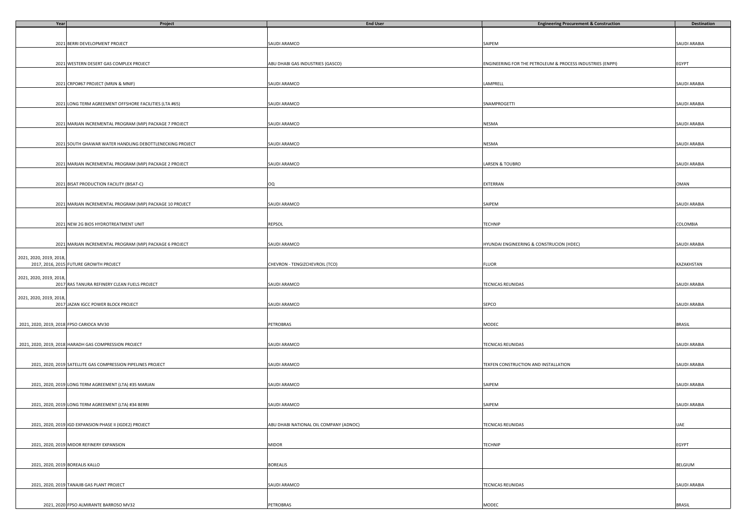| Year                                     | Project                                                      | <b>End User</b>                        | <b>Engineering Procurement &amp; Construction</b>          | Destination   |
|------------------------------------------|--------------------------------------------------------------|----------------------------------------|------------------------------------------------------------|---------------|
|                                          |                                                              |                                        |                                                            |               |
|                                          |                                                              |                                        |                                                            |               |
|                                          | 2021 BERRI DEVELOPMENT PROJECT                               | SAUDI ARAMCO                           | SAIPEM                                                     | SAUDI ARABIA  |
|                                          |                                                              |                                        |                                                            |               |
|                                          |                                                              |                                        |                                                            |               |
|                                          | 2021 WESTERN DESERT GAS COMPLEX PROJECT                      | ABU DHABI GAS INDUSTRIES (GASCO)       | ENGINEERING FOR THE PETROLEUM & PROCESS INDUSTRIES (ENPPI) | EGYPT         |
|                                          |                                                              |                                        |                                                            |               |
|                                          |                                                              |                                        |                                                            |               |
|                                          | 2021 CRPO#67 PROJECT (MRJN & MNIF)                           | SAUDI ARAMCO                           | LAMPRELL                                                   | SAUDI ARABIA  |
|                                          |                                                              |                                        |                                                            |               |
|                                          |                                                              |                                        |                                                            |               |
|                                          | 2021 LONG TERM AGREEMENT OFFSHORE FACILITIES (LTA #65)       | SAUDI ARAMCO                           | SNAMPROGETTI                                               | SAUDI ARABIA  |
|                                          |                                                              |                                        |                                                            |               |
|                                          |                                                              |                                        |                                                            |               |
|                                          | 2021 MARJAN INCREMENTAL PROGRAM (MIP) PACKAGE 7 PROJECT      | SAUDI ARAMCO                           | NESMA                                                      | SAUDI ARABIA  |
|                                          |                                                              |                                        |                                                            |               |
|                                          |                                                              |                                        |                                                            |               |
|                                          | 2021 SOUTH GHAWAR WATER HANDLING DEBOTTLENECKING PROJECT     |                                        | NESMA                                                      |               |
|                                          |                                                              | SAUDI ARAMCO                           |                                                            | SAUDI ARABIA  |
|                                          |                                                              |                                        |                                                            |               |
|                                          |                                                              |                                        |                                                            |               |
|                                          | 2021 MARJAN INCREMENTAL PROGRAM (MIP) PACKAGE 2 PROJECT      | SAUDI ARAMCO                           | LARSEN & TOUBRO                                            | SAUDI ARABIA  |
|                                          |                                                              |                                        |                                                            |               |
|                                          |                                                              |                                        |                                                            |               |
|                                          | 2021 BISAT PRODUCTION FACILITY (BISAT-C)                     | OQ                                     | EXTERRAN                                                   | OMAN          |
|                                          |                                                              |                                        |                                                            |               |
|                                          |                                                              |                                        |                                                            |               |
|                                          | 2021 MARJAN INCREMENTAL PROGRAM (MIP) PACKAGE 10 PROJECT     | SAUDI ARAMCO                           | SAIPEM                                                     | SAUDI ARABIA  |
|                                          |                                                              |                                        |                                                            |               |
|                                          |                                                              |                                        |                                                            |               |
|                                          | 2021 NEW 2G BIOS HYDROTREATMENT UNIT                         | <b>REPSOL</b>                          | TECHNIP                                                    | COLOMBIA      |
|                                          |                                                              |                                        |                                                            |               |
|                                          |                                                              |                                        |                                                            |               |
|                                          | 2021 MARJAN INCREMENTAL PROGRAM (MIP) PACKAGE 6 PROJECT      | SAUDI ARAMCO                           | HYUNDAI ENGINEERING & CONSTRUCION (HDEC)                   | SAUDI ARABIA  |
|                                          |                                                              |                                        |                                                            |               |
| 2021, 2020, 2019, 2018,                  |                                                              |                                        |                                                            |               |
|                                          | 2017, 2016, 2015 FUTURE GROWTH PROJECT                       | CHEVRON - TENGIZCHEVROIL (TCO)         | <b>FLUOR</b>                                               | KAZAKHSTAN    |
|                                          |                                                              |                                        |                                                            |               |
| 2021, 2020, 2019, 2018                   |                                                              |                                        |                                                            |               |
|                                          | 2017 RAS TANURA REFINERY CLEAN FUELS PROJECT                 | SAUDI ARAMCO                           | TECNICAS REUNIDAS                                          | SAUDI ARABIA  |
|                                          |                                                              |                                        |                                                            |               |
| 2021, 2020, 2019, 2018,                  |                                                              |                                        |                                                            |               |
|                                          | 2017 JAZAN IGCC POWER BLOCK PROJECT                          | SAUDI ARAMCO                           | SEPCO                                                      | SAUDI ARABIA  |
|                                          |                                                              |                                        |                                                            |               |
|                                          |                                                              |                                        |                                                            |               |
| 2021, 2020, 2019, 2018 FPSO CARIOCA MV30 |                                                              | PETROBRAS                              | MODEC                                                      | <b>BRASIL</b> |
|                                          |                                                              |                                        |                                                            |               |
|                                          |                                                              |                                        |                                                            |               |
|                                          | 2021, 2020, 2019, 2018 HARADH GAS COMPRESSION PROJECT        | SAUDI ARAMCO                           | TECNICAS REUNIDAS                                          | SAUDI ARABIA  |
|                                          |                                                              |                                        |                                                            |               |
|                                          |                                                              |                                        |                                                            |               |
|                                          | 2021, 2020, 2019 SATELLITE GAS COMPRESSION PIPELINES PROJECT | SAUDI ARAMCO                           | TEKFEN CONSTRUCTION AND INSTALLATION                       | SAUDI ARABIA  |
|                                          |                                                              |                                        |                                                            |               |
|                                          |                                                              |                                        |                                                            |               |
|                                          | 2021, 2020, 2019 LONG TERM AGREEMENT (LTA) #35 MARJAN        | SAUDI ARAMCO                           | SAIPEM                                                     | SAUDI ARABIA  |
|                                          |                                                              |                                        |                                                            |               |
|                                          |                                                              |                                        |                                                            |               |
|                                          | 2021, 2020, 2019 LONG TERM AGREEMENT (LTA) #34 BERRI         | SAUDI ARAMCO                           | SAIPEM                                                     | SAUDI ARABIA  |
|                                          |                                                              |                                        |                                                            |               |
|                                          |                                                              |                                        |                                                            |               |
|                                          | 2021, 2020, 2019 IGD EXPANSION PHASE II (IGDE2) PROJECT      | ABU DHABI NATIONAL OIL COMPANY (ADNOC) | TECNICAS REUNIDAS                                          | UAE           |
|                                          |                                                              |                                        |                                                            |               |
|                                          |                                                              |                                        |                                                            |               |
|                                          |                                                              |                                        |                                                            |               |
|                                          | 2021, 2020, 2019 MIDOR REFINERY EXPANSION                    | <b>MIDOR</b>                           | TECHNIP                                                    | EGYPT         |
|                                          |                                                              |                                        |                                                            |               |
|                                          |                                                              |                                        |                                                            |               |
| 2021, 2020, 2019 BOREALIS KALLO          |                                                              | <b>BOREALIS</b>                        |                                                            | BELGIUM       |
|                                          |                                                              |                                        |                                                            |               |
|                                          |                                                              |                                        |                                                            |               |
|                                          | 2021, 2020, 2019 TANAJIB GAS PLANT PROJECT                   | SAUDI ARAMCO                           | <b>TECNICAS REUNIDAS</b>                                   | SAUDI ARABIA  |
|                                          |                                                              |                                        |                                                            |               |
|                                          |                                                              |                                        |                                                            |               |
|                                          | 2021, 2020 FPSO ALMIRANTE BARROSO MV32                       | PETROBRAS                              | MODEC                                                      | <b>BRASIL</b> |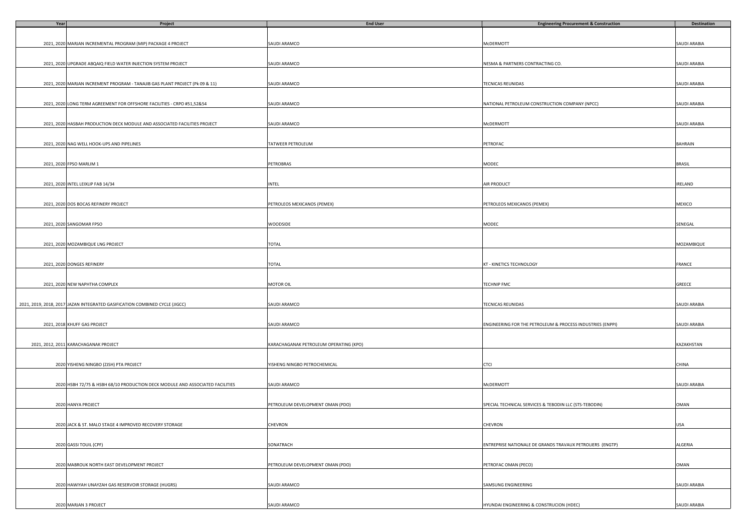| Year | Project                                                                       | <b>End User</b>                        | <b>Engineering Procurement &amp; Construction</b>          | Destination    |
|------|-------------------------------------------------------------------------------|----------------------------------------|------------------------------------------------------------|----------------|
|      |                                                                               |                                        |                                                            |                |
|      |                                                                               |                                        |                                                            |                |
|      | 2021, 2020 MARJAN INCREMENTAL PROGRAM (MIP) PACKAGE 4 PROJECT                 | SAUDI ARAMCO                           | McDERMOTT                                                  | SAUDI ARABIA   |
|      |                                                                               |                                        |                                                            |                |
|      |                                                                               |                                        |                                                            |                |
|      | 2021, 2020 UPGRADE ABQAIQ FIELD WATER INJECTION SYSTEM PROJECT                | SAUDI ARAMCO                           | NESMA & PARTNERS CONTRACTING CO.                           | SAUDI ARABIA   |
|      |                                                                               |                                        |                                                            |                |
|      |                                                                               |                                        |                                                            |                |
|      | 2021, 2020 MARJAN INCREMENT PROGRAM - TANAJIB GAS PLANT PROJECT (Pk 09 & 11)  | SAUDI ARAMCO                           | TECNICAS REUNIDAS                                          | SAUDI ARABIA   |
|      |                                                                               |                                        |                                                            |                |
|      |                                                                               |                                        |                                                            |                |
|      | 2021, 2020 LONG TERM AGREEMENT FOR OFFSHORE FACILITIES - CRPO #51,52&54       | SAUDI ARAMCO                           | NATIONAL PETROLEUM CONSTRUCTION COMPANY (NPCC)             | SAUDI ARABIA   |
|      |                                                                               |                                        |                                                            |                |
|      |                                                                               |                                        |                                                            |                |
|      | 2021, 2020 HASBAH PRODUCTION DECK MODULE AND ASSOCIATED FACILITIES PROJECT    | SAUDI ARAMCO                           | McDERMOTT                                                  | SAUDI ARABIA   |
|      |                                                                               |                                        |                                                            |                |
|      |                                                                               |                                        |                                                            |                |
|      | 2021, 2020 NAG WELL HOOK-UPS AND PIPELINES                                    | TATWEER PETROLEUM                      | PETROFAC                                                   | <b>BAHRAIN</b> |
|      |                                                                               |                                        |                                                            |                |
|      |                                                                               |                                        |                                                            |                |
|      | 2021, 2020 FPSO MARLIM 1                                                      | PETROBRAS                              | MODEC                                                      | <b>BRASIL</b>  |
|      |                                                                               |                                        |                                                            |                |
|      | 2021, 2020 INTEL LEIXLIP FAB 14/34                                            | <b>INTEL</b>                           | AIR PRODUCT                                                | IRELAND        |
|      |                                                                               |                                        |                                                            |                |
|      |                                                                               |                                        |                                                            |                |
|      | 2021, 2020 DOS BOCAS REFINERY PROJECT                                         | PETROLEOS MEXICANOS (PEMEX)            | PETROLEOS MEXICANOS (PEMEX)                                | MEXICO         |
|      |                                                                               |                                        |                                                            |                |
|      |                                                                               |                                        |                                                            |                |
|      | 2021, 2020 SANGOMAR FPSO                                                      | WOODSIDE                               | MODEC                                                      | SENEGAL        |
|      |                                                                               |                                        |                                                            |                |
|      |                                                                               |                                        |                                                            |                |
|      | 2021, 2020 MOZAMBIQUE LNG PROJECT                                             | <b>TOTAL</b>                           |                                                            | MOZAMBIQUE     |
|      |                                                                               |                                        |                                                            |                |
|      |                                                                               |                                        |                                                            |                |
|      | 2021, 2020 DONGES REFINERY                                                    | TOTAL                                  | KT - KINETICS TECHNOLOGY                                   | FRANCE         |
|      |                                                                               |                                        |                                                            |                |
|      |                                                                               |                                        |                                                            |                |
|      | 2021, 2020 NEW NAPHTHA COMPLEX                                                | MOTOR OIL                              | <b>TECHNIP FMC</b>                                         | GREECE         |
|      |                                                                               |                                        |                                                            |                |
|      |                                                                               |                                        |                                                            |                |
|      | 2021, 2019, 2018, 2017 JAZAN INTEGRATED GASIFICATION COMBINED CYCLE (JIGCC)   | SAUDI ARAMCO                           | TECNICAS REUNIDAS                                          | SAUDI ARABIA   |
|      |                                                                               |                                        |                                                            |                |
|      |                                                                               |                                        |                                                            |                |
|      | 2021, 2018 KHUFF GAS PROJECT                                                  | SAUDI ARAMCO                           | ENGINEERING FOR THE PETROLEUM & PROCESS INDUSTRIES (ENPPI) | SAUDI ARABIA   |
|      |                                                                               |                                        |                                                            |                |
|      |                                                                               |                                        |                                                            |                |
|      | 2021, 2012, 2011 KARACHAGANAK PROJECT                                         | KARACHAGANAK PETROLEUM OPERATING (KPO) |                                                            | KAZAKHSTAN     |
|      |                                                                               |                                        |                                                            |                |
|      |                                                                               |                                        |                                                            |                |
|      | 2020 YISHENG NINGBO (ZJSH) PTA PROJECT                                        | YISHENG NINGBO PETROCHEMICAL           | CTCI                                                       | CHINA          |
|      |                                                                               |                                        |                                                            |                |
|      |                                                                               |                                        |                                                            |                |
|      | 2020 HSBH 72/75 & HSBH 68/10 PRODUCTION DECK MODULE AND ASSOCIATED FACILITIES | SAUDI ARAMCO                           | McDERMOTT                                                  | SAUDI ARABIA   |
|      |                                                                               |                                        |                                                            |                |
|      |                                                                               |                                        |                                                            |                |
|      | 2020 HANYA PROJECT                                                            | PETROLEUM DEVELOPMENT OMAN (PDO)       | SPECIAL TECHNICAL SERVICES & TEBODIN LLC (STS-TEBODIN)     | OMAN           |
|      |                                                                               |                                        |                                                            |                |
|      |                                                                               | CHEVRON                                | CHEVRON                                                    | <b>USA</b>     |
|      | 2020 JACK & ST. MALO STAGE 4 IMPROVED RECOVERY STORAGE                        |                                        |                                                            |                |
|      |                                                                               |                                        |                                                            |                |
|      | 2020 GASSI TOUIL (CPF)                                                        | SONATRACH                              | ENTREPRISE NATIONALE DE GRANDS TRAVAUX PETROLIERS (ENGTP)  | ALGERIA        |
|      |                                                                               |                                        |                                                            |                |
|      |                                                                               |                                        |                                                            |                |
|      | 2020 MABROUK NORTH EAST DEVELOPMENT PROJECT                                   | PETROLEUM DEVELOPMENT OMAN (PDO)       | PETROFAC OMAN (PECO)                                       | OMAN           |
|      |                                                                               |                                        |                                                            |                |
|      |                                                                               |                                        |                                                            |                |
|      | 2020 HAWIYAH UNAYZAH GAS RESERVOIR STORAGE (HUGRS)                            | SAUDI ARAMCO                           | SAMSUNG ENGINEERING                                        | SAUDI ARABIA   |
|      |                                                                               |                                        |                                                            |                |
|      |                                                                               |                                        |                                                            |                |
|      | 2020 MARJAN 3 PROJECT                                                         | SAUDI ARAMCO                           | HYUNDAI ENGINEERING & CONSTRUCION (HDEC)                   | SAUDI ARABIA   |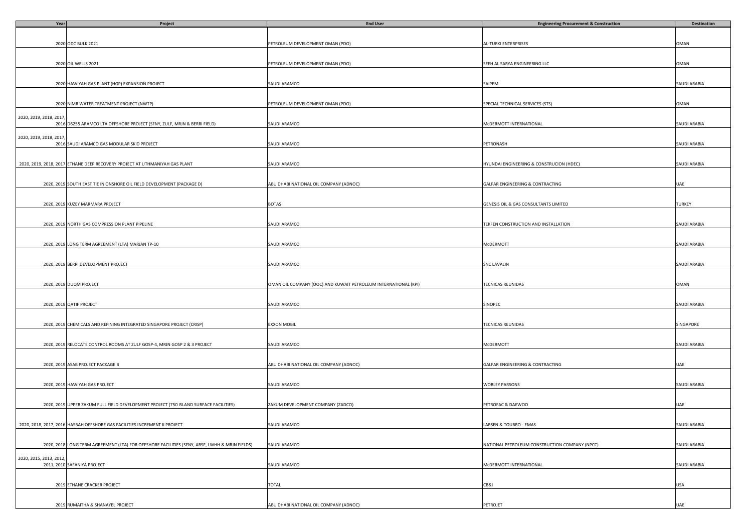| Year                    | Project                                                                                       | <b>End User</b>                                                 | <b>Engineering Procurement &amp; Construction</b> | <b>Destination</b> |
|-------------------------|-----------------------------------------------------------------------------------------------|-----------------------------------------------------------------|---------------------------------------------------|--------------------|
|                         |                                                                                               |                                                                 |                                                   |                    |
|                         |                                                                                               |                                                                 |                                                   |                    |
|                         | 2020 ODC BULK 2021                                                                            | PETROLEUM DEVELOPMENT OMAN (PDO)                                | AL-TURKI ENTERPRISES                              | OMAN               |
|                         |                                                                                               |                                                                 |                                                   |                    |
|                         |                                                                                               |                                                                 |                                                   |                    |
|                         | 2020 OIL WELLS 2021                                                                           | PETROLEUM DEVELOPMENT OMAN (PDO)                                | SEEH AL SARYA ENGINEERING LLC                     | OMAN               |
|                         |                                                                                               |                                                                 |                                                   |                    |
|                         |                                                                                               |                                                                 |                                                   |                    |
|                         | 2020 HAWIYAH GAS PLANT (HGP) EXPANSION PROJECT                                                | SAUDI ARAMCO                                                    | SAIPEM                                            | SAUDI ARABIA       |
|                         |                                                                                               |                                                                 |                                                   |                    |
|                         |                                                                                               |                                                                 |                                                   |                    |
|                         | 2020 NIMR WATER TREATMENT PROJECT (NWTP)                                                      | PETROLEUM DEVELOPMENT OMAN (PDO)                                | SPECIAL TECHNICAL SERVICES (STS)                  | OMAN               |
|                         |                                                                                               |                                                                 |                                                   |                    |
| 2020, 2019, 2018, 2017  |                                                                                               |                                                                 |                                                   |                    |
|                         | 2016 D6255 ARAMCO LTA OFFSHORE PROJECT (SFNY, ZULF, MRJN & BERRI FIELD)                       | SAUDI ARAMCO                                                    | MCDERMOTT INTERNATIONAL                           | SAUDI ARABIA       |
|                         |                                                                                               |                                                                 |                                                   |                    |
| 2020, 2019, 2018, 2017  |                                                                                               |                                                                 |                                                   |                    |
|                         | 2016 SAUDI ARAMCO GAS MODULAR SKID PROJECT                                                    | SAUDI ARAMCO                                                    | PETRONASH                                         | SAUDI ARABIA       |
|                         |                                                                                               |                                                                 |                                                   |                    |
|                         |                                                                                               |                                                                 |                                                   |                    |
|                         | 2020, 2019, 2018, 2017 ETHANE DEEP RECOVERY PROJECT AT UTHMANIYAH GAS PLANT                   | SAUDI ARAMCO                                                    | HYUNDAI ENGINEERING & CONSTRUCION (HDEC)          | SAUDI ARABIA       |
|                         |                                                                                               |                                                                 |                                                   |                    |
|                         |                                                                                               |                                                                 |                                                   |                    |
|                         | 2020, 2019 SOUTH EAST TIE IN ONSHORE OIL FIELD DEVELOPMENT (PACKAGE D)                        | ABU DHABI NATIONAL OIL COMPANY (ADNOC)                          | GALFAR ENGINEERING & CONTRACTING                  | UAE                |
|                         |                                                                                               |                                                                 |                                                   |                    |
|                         |                                                                                               |                                                                 |                                                   |                    |
|                         | 2020, 2019 KUZEY MARMARA PROJECT                                                              | <b>BOTAS</b>                                                    | GENESIS OIL & GAS CONSULTANTS LIMITED             | TURKEY             |
|                         |                                                                                               |                                                                 |                                                   |                    |
|                         | 2020, 2019 NORTH GAS COMPRESSION PLANT PIPELINE                                               | SAUDI ARAMCO                                                    | TEKFEN CONSTRUCTION AND INSTALLATION              | SAUDI ARABIA       |
|                         |                                                                                               |                                                                 |                                                   |                    |
|                         |                                                                                               |                                                                 |                                                   |                    |
|                         | 2020, 2019 LONG TERM AGREEMENT (LTA) MARJAN TP-10                                             | SAUDI ARAMCO                                                    | MCDERMOTT                                         | SAUDI ARABIA       |
|                         |                                                                                               |                                                                 |                                                   |                    |
|                         |                                                                                               |                                                                 |                                                   |                    |
|                         | 2020, 2019 BERRI DEVELOPMENT PROJECT                                                          | SAUDI ARAMCO                                                    | <b>SNC LAVALIN</b>                                | SAUDI ARABIA       |
|                         |                                                                                               |                                                                 |                                                   |                    |
|                         |                                                                                               |                                                                 |                                                   |                    |
|                         | 2020, 2019 DUQM PROJECT                                                                       | OMAN OIL COMPANY (OOC) AND KUWAIT PETROLEUM INTERNATIONAL (KPI) | TECNICAS REUNIDAS                                 | OMAN               |
|                         |                                                                                               |                                                                 |                                                   |                    |
|                         |                                                                                               |                                                                 |                                                   |                    |
|                         | 2020, 2019 QATIF PROJECT                                                                      | SAUDI ARAMCO                                                    | SINOPEC                                           | SAUDI ARABIA       |
|                         |                                                                                               |                                                                 |                                                   |                    |
|                         |                                                                                               |                                                                 |                                                   |                    |
|                         | 2020, 2019 CHEMICALS AND REFINING INTEGRATED SINGAPORE PROJECT (CRISP)                        | EXXON MOBIL                                                     | TECNICAS REUNIDAS                                 | SINGAPORE          |
|                         |                                                                                               |                                                                 |                                                   |                    |
|                         |                                                                                               |                                                                 |                                                   |                    |
|                         | 2020, 2019 RELOCATE CONTROL ROOMS AT ZULF GOSP-4, MRJN GOSP 2 & 3 PROJECT                     | SAUDI ARAMCO                                                    | McDERMOTT                                         | SAUDI ARABIA       |
|                         |                                                                                               |                                                                 |                                                   |                    |
|                         |                                                                                               |                                                                 |                                                   |                    |
|                         | 2020, 2019 ASAB PROJECT PACKAGE B                                                             | ABU DHABI NATIONAL OIL COMPANY (ADNOC)                          | GALFAR ENGINEERING & CONTRACTING                  | UAE                |
|                         |                                                                                               |                                                                 |                                                   |                    |
|                         |                                                                                               | SAUDI ARAMCO                                                    |                                                   |                    |
|                         | 2020, 2019 HAWIYAH GAS PROJECT                                                                |                                                                 | <b>WORLEY PARSONS</b>                             | SAUDI ARABIA       |
|                         |                                                                                               |                                                                 |                                                   |                    |
|                         | 2020, 2019 UPPER ZAKUM FULL FIELD DEVELOPMENT PROJECT (750 ISLAND SURFACE FACILITIES)         | ZAKUM DEVELOPMENT COMPANY (ZADCO)                               | PETROFAC & DAEWOO                                 | UAE                |
|                         |                                                                                               |                                                                 |                                                   |                    |
|                         |                                                                                               |                                                                 |                                                   |                    |
|                         | 2020, 2018, 2017, 2016 HASBAH OFFSHORE GAS FACILITIES INCREMENT II PROJECT                    | SAUDI ARAMCO                                                    | LARSEN & TOUBRO - EMAS                            | SAUDI ARABIA       |
|                         |                                                                                               |                                                                 |                                                   |                    |
|                         |                                                                                               |                                                                 |                                                   |                    |
|                         | 2020, 2018 LONG TERM AGREEMENT (LTA) FOR OFFSHORE FACILITIES (SFNY, ABSF, LWHH & MRJN FIELDS) | SAUDI ARAMCO                                                    | NATIONAL PETROLEUM CONSTRUCTION COMPANY (NPCC)    | SAUDI ARABIA       |
|                         |                                                                                               |                                                                 |                                                   |                    |
| 2020, 2015, 2013, 2012, |                                                                                               |                                                                 |                                                   |                    |
|                         | 2011, 2010 SAFANIYA PROJECT                                                                   | SAUDI ARAMCO                                                    | McDERMOTT INTERNATIONAL                           | SAUDI ARABIA       |
|                         |                                                                                               |                                                                 |                                                   |                    |
|                         |                                                                                               |                                                                 |                                                   |                    |
|                         | 2019 ETHANE CRACKER PROJECT                                                                   | <b>TOTAL</b>                                                    | CB&I                                              | USA                |
|                         |                                                                                               |                                                                 |                                                   |                    |
|                         |                                                                                               |                                                                 |                                                   |                    |
|                         | 2019 RUMAITHA & SHANAYEL PROJECT                                                              | ABU DHABI NATIONAL OIL COMPANY (ADNOC)                          | PETROJET                                          | UAE                |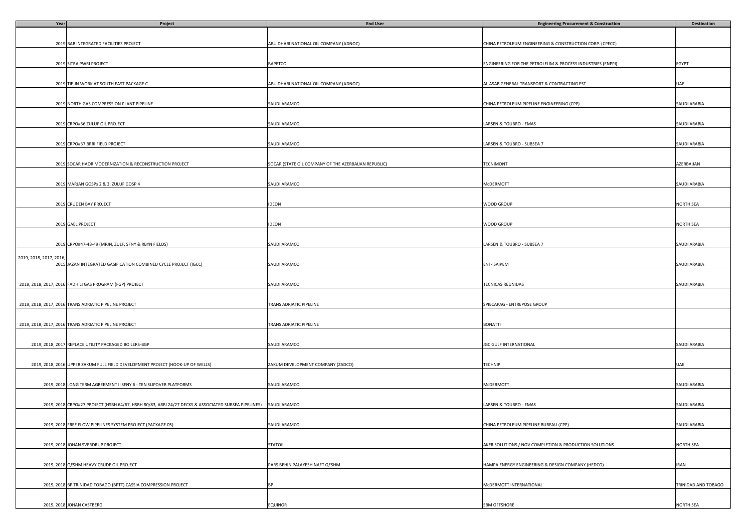| Year                    | Project                                                                                             | <b>End User</b>                                      | <b>Engineering Procurement &amp; Construction</b>          | Destination         |
|-------------------------|-----------------------------------------------------------------------------------------------------|------------------------------------------------------|------------------------------------------------------------|---------------------|
|                         |                                                                                                     |                                                      |                                                            |                     |
|                         |                                                                                                     |                                                      |                                                            |                     |
|                         | 2019 BAB INTEGRATED FACILITIES PROJECT                                                              | ABU DHABI NATIONAL OIL COMPANY (ADNOC)               | CHINA PETROLEUM ENGINEERING & CONSTRUCTION CORP. (CPECC)   |                     |
|                         |                                                                                                     |                                                      |                                                            |                     |
|                         |                                                                                                     |                                                      |                                                            |                     |
|                         | 2019 SITRA PWRI PROJECT                                                                             | BAPETCO                                              | ENGINEERING FOR THE PETROLEUM & PROCESS INDUSTRIES (ENPPI) | EGYPT               |
|                         |                                                                                                     |                                                      |                                                            |                     |
|                         |                                                                                                     |                                                      |                                                            |                     |
|                         | 2019 TIE-IN WORK AT SOUTH EAST PACKAGE C                                                            | ABU DHABI NATIONAL OIL COMPANY (ADNOC)               | AL ASAB GENERAL TRANSPORT & CONTRACTING EST.               | UAE                 |
|                         |                                                                                                     |                                                      |                                                            |                     |
|                         |                                                                                                     |                                                      |                                                            |                     |
|                         | 2019 NORTH GAS COMPRESSION PLANT PIPELINE                                                           | SAUDI ARAMCO                                         | CHINA PETROLEUM PIPELINE ENGINEERING (CPP)                 | SAUDI ARABIA        |
|                         |                                                                                                     |                                                      |                                                            |                     |
|                         |                                                                                                     |                                                      |                                                            |                     |
|                         | 2019 CRPO#36 ZULUF OIL PROJECT                                                                      | SAUDI ARAMCO                                         | LARSEN & TOUBRO - EMAS                                     | SAUDI ARABIA        |
|                         |                                                                                                     |                                                      |                                                            |                     |
|                         |                                                                                                     |                                                      |                                                            |                     |
|                         | 2019 CRPO#37 BRRI FIELD PROJECT                                                                     | SAUDI ARAMCO                                         | LARSEN & TOUBRO - SUBSEA 7                                 | SAUDI ARABIA        |
|                         |                                                                                                     |                                                      |                                                            |                     |
|                         |                                                                                                     |                                                      |                                                            |                     |
|                         | 2019 SOCAR HAOR MODERNIZATION & RECONSTRUCTION PROJECT                                              | SOCAR (STATE OIL COMPANY OF THE AZERBAIJAN REPUBLIC) | <b>TECNIMONT</b>                                           | AZERBAIJAN          |
|                         |                                                                                                     |                                                      |                                                            |                     |
|                         |                                                                                                     |                                                      |                                                            |                     |
|                         | 2019 MARJAN GOSPs 2 & 3, ZULUF GOSP 4                                                               | SAUDI ARAMCO                                         | McDERMOTT                                                  | SAUDI ARABIA        |
|                         |                                                                                                     |                                                      |                                                            |                     |
|                         |                                                                                                     |                                                      |                                                            |                     |
|                         | 2019 CRUDEN BAY PROJECT                                                                             | IDEON                                                | WOOD GROUP                                                 | NORTH SEA           |
|                         |                                                                                                     |                                                      |                                                            |                     |
|                         |                                                                                                     |                                                      |                                                            |                     |
|                         | 2019 GAEL PROJECT                                                                                   | <b>IDEON</b>                                         | WOOD GROUP                                                 | NORTH SEA           |
|                         |                                                                                                     |                                                      |                                                            |                     |
|                         |                                                                                                     |                                                      |                                                            |                     |
|                         | 2019 CRPO#47-48-49 (MRJN, ZULF, SFNY & RBYN FIELDS)                                                 | SAUDI ARAMCO                                         | LARSEN & TOUBRO - SUBSEA 7                                 | SAUDI ARABIA        |
|                         |                                                                                                     |                                                      |                                                            |                     |
| 2019, 2018, 2017, 2016, |                                                                                                     |                                                      |                                                            |                     |
|                         | 2015 JAZAN INTEGRATED GASIFICATION COMBINED CYCLE PROJECT (IGCC)                                    | SAUDI ARAMCO                                         | ENI - SAIPEM                                               | SAUDI ARABIA        |
|                         |                                                                                                     |                                                      |                                                            |                     |
|                         |                                                                                                     |                                                      |                                                            |                     |
|                         | 2019, 2018, 2017, 2016 FADHILI GAS PROGRAM (FGP) PROJECT                                            | SAUDI ARAMCO                                         | TECNICAS REUNIDAS                                          | SAUDI ARABIA        |
|                         |                                                                                                     |                                                      |                                                            |                     |
|                         |                                                                                                     |                                                      |                                                            |                     |
|                         | 2019, 2018, 2017, 2016 TRANS ADRIATIC PIPELINE PROJECT                                              | TRANS ADRIATIC PIPELINE                              | SPIECAPAG - ENTREPOSE GROUP                                |                     |
|                         |                                                                                                     |                                                      |                                                            |                     |
|                         |                                                                                                     |                                                      |                                                            |                     |
|                         | 2019, 2018, 2017, 2016 TRANS ADRIATIC PIPELINE PROJECT                                              | TRANS ADRIATIC PIPELINE                              | <b>BONATTI</b>                                             |                     |
|                         |                                                                                                     |                                                      |                                                            |                     |
|                         |                                                                                                     |                                                      |                                                            |                     |
|                         | 2019, 2018, 2017 REPLACE UTILITY PACKAGED BOILERS-BGP                                               | SAUDI ARAMCO                                         | JGC GULF INTERNATIONAL                                     | SAUDI ARABIA        |
|                         |                                                                                                     |                                                      |                                                            |                     |
|                         |                                                                                                     |                                                      |                                                            |                     |
|                         | 2019, 2018, 2016 UPPER ZAKUM FULL FIELD DEVELOPMENT PROJECT (HOOK-UP OF WELLS)                      | ZAKUM DEVELOPMENT COMPANY (ZADCO)                    | TECHNIP                                                    | UAE                 |
|                         |                                                                                                     |                                                      |                                                            |                     |
|                         |                                                                                                     |                                                      |                                                            |                     |
|                         | 2019, 2018 LONG TERM AGREEMENT II SFNY 6 - TEN SLIPOVER PLATFORMS                                   | SAUDI ARAMCO                                         | McDERMOTT                                                  | SAUDI ARABIA        |
|                         |                                                                                                     |                                                      |                                                            |                     |
|                         |                                                                                                     |                                                      |                                                            |                     |
|                         | 2019, 2018 CRPO#27 PROJECT (HSBH 64/67, HSBH 80/83, ARBI 24/27 DECKS & ASSOCIATED SUBSEA PIPELINES) | SAUDI ARAMCO                                         | LARSEN & TOUBRO - EMAS                                     | SAUDI ARABIA        |
|                         |                                                                                                     |                                                      |                                                            |                     |
|                         |                                                                                                     |                                                      |                                                            |                     |
|                         | 2019, 2018 FREE FLOW PIPELINES SYSTEM PROJECT (PACKAGE 05)                                          | SAUDI ARAMCO                                         | CHINA PETROLEUM PIPELINE BUREAU (CPP)                      | SAUDI ARABIA        |
|                         |                                                                                                     |                                                      |                                                            |                     |
|                         |                                                                                                     |                                                      |                                                            |                     |
|                         | 2019, 2018 JOHAN SVERDRUP PROJECT                                                                   | <b>STATOIL</b>                                       | AKER SOLUTIONS / NOV COMPLETION & PRODUCTION SOLUTIONS     | NORTH SEA           |
|                         |                                                                                                     |                                                      |                                                            |                     |
|                         |                                                                                                     |                                                      |                                                            |                     |
|                         | 2019, 2018 QESHM HEAVY CRUDE OIL PROJECT                                                            | PARS BEHIN PALAYESH NAFT QESHM                       | HAMPA ENERGY ENGINEERING & DESIGN COMPANY (HEDCO)          | <b>IRAN</b>         |
|                         |                                                                                                     |                                                      |                                                            |                     |
|                         |                                                                                                     |                                                      |                                                            |                     |
|                         | 2019, 2018 BP TRINIDAD TOBAGO (BPTT) CASSIA COMPRESSION PROJECT                                     | <b>BP</b>                                            | McDERMOTT INTERNATIONAL                                    | TRINIDAD AND TOBAGO |
|                         |                                                                                                     |                                                      |                                                            |                     |
|                         |                                                                                                     |                                                      |                                                            |                     |
|                         | 2019, 2018 JOHAN CASTBERG                                                                           | EQUINOR                                              | SBM OFFSHORE                                               | NORTH SEA           |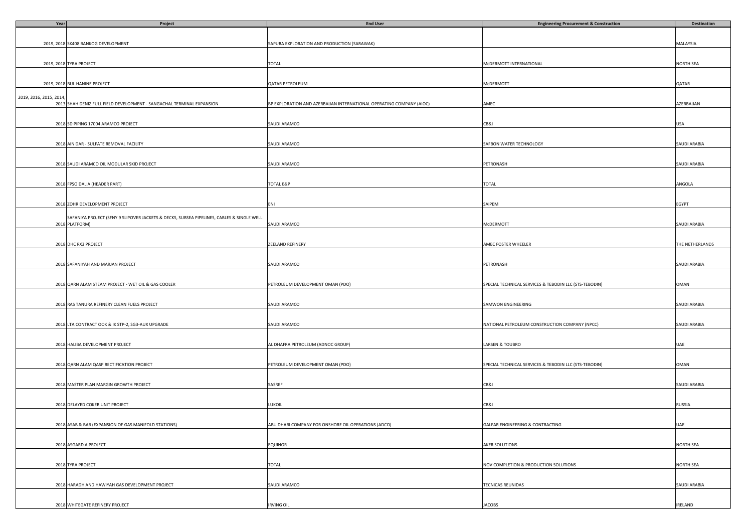| Year                    | Project                                                                                   | <b>End User</b>                                                      | <b>Engineering Procurement &amp; Construction</b>      | Destination         |
|-------------------------|-------------------------------------------------------------------------------------------|----------------------------------------------------------------------|--------------------------------------------------------|---------------------|
|                         |                                                                                           |                                                                      |                                                        |                     |
|                         |                                                                                           |                                                                      |                                                        |                     |
|                         | 2019, 2018 SK408 BANKOG DEVELOPMENT                                                       | SAPURA EXPLORATION AND PRODUCTION (SARAWAK)                          |                                                        | MALAYSIA            |
|                         |                                                                                           |                                                                      |                                                        |                     |
|                         |                                                                                           |                                                                      |                                                        |                     |
|                         | 2019, 2018 TYRA PROJECT                                                                   | TOTAL                                                                | McDERMOTT INTERNATIONAL                                | NORTH SEA           |
|                         |                                                                                           |                                                                      |                                                        |                     |
|                         |                                                                                           |                                                                      |                                                        |                     |
|                         | 2019, 2018 BUL HANINE PROJECT                                                             | QATAR PETROLEUM                                                      | McDERMOTT                                              | QATAR               |
|                         |                                                                                           |                                                                      |                                                        |                     |
| 2019, 2016, 2015, 2014, |                                                                                           |                                                                      |                                                        |                     |
|                         | 2013 SHAH DENIZ FULL FIELD DEVELOPMENT - SANGACHAL TERMINAL EXPANSION                     | BP EXPLORATION AND AZERBAIJAN INTERNATIONAL OPERATING COMPANY (AIOC) | AMEC                                                   | AZERBAIJAN          |
|                         |                                                                                           |                                                                      |                                                        |                     |
|                         |                                                                                           |                                                                      |                                                        |                     |
|                         | 2018 SD PIPING 17004 ARAMCO PROJECT                                                       | SAUDI ARAMCO                                                         | CB&I                                                   | USA                 |
|                         |                                                                                           |                                                                      |                                                        |                     |
|                         |                                                                                           |                                                                      |                                                        |                     |
|                         | 2018 AIN DAR - SULFATE REMOVAL FACILITY                                                   | SAUDI ARAMCO                                                         | SAFBON WATER TECHNOLOGY                                | SAUDI ARABIA        |
|                         |                                                                                           |                                                                      |                                                        |                     |
|                         |                                                                                           |                                                                      |                                                        |                     |
|                         | 2018 SAUDI ARAMCO OIL MODULAR SKID PROJECT                                                | SAUDI ARAMCO                                                         | PETRONASH                                              | <b>SAUDI ARABIA</b> |
|                         |                                                                                           |                                                                      |                                                        |                     |
|                         |                                                                                           |                                                                      |                                                        |                     |
|                         | 2018 FPSO DALIA (HEADER PART)                                                             | <b>TOTAL E&amp;P</b>                                                 | TOTAL                                                  | ANGOLA              |
|                         |                                                                                           |                                                                      |                                                        |                     |
|                         |                                                                                           |                                                                      |                                                        |                     |
|                         | 2018 ZOHR DEVELOPMENT PROJECT                                                             | ENI                                                                  | SAIPEM                                                 | EGYPT               |
|                         |                                                                                           |                                                                      |                                                        |                     |
|                         | SAFANIYA PROJECT (SFNY 9 SLIPOVER JACKETS & DECKS, SUBSEA PIPELINES, CABLES & SINGLE WELL |                                                                      |                                                        |                     |
|                         | 2018 PLATFORM)                                                                            | SAUDI ARAMCO                                                         | McDERMOTT                                              | SAUDI ARABIA        |
|                         |                                                                                           |                                                                      |                                                        |                     |
|                         |                                                                                           |                                                                      |                                                        |                     |
|                         | 2018 DHC RX3 PROJECT                                                                      | ZEELAND REFINERY                                                     | AMEC FOSTER WHEELER                                    | THE NETHERLANDS     |
|                         |                                                                                           |                                                                      |                                                        |                     |
|                         |                                                                                           |                                                                      |                                                        |                     |
|                         | 2018 SAFANIYAH AND MARJAN PROJECT                                                         | SAUDI ARAMCO                                                         | PETRONASH                                              | SAUDI ARABIA        |
|                         |                                                                                           |                                                                      |                                                        |                     |
|                         |                                                                                           |                                                                      |                                                        |                     |
|                         | 2018 QARN ALAM STEAM PROJECT - WET OIL & GAS COOLER                                       | PETROLEUM DEVELOPMENT OMAN (PDO)                                     | SPECIAL TECHNICAL SERVICES & TEBODIN LLC (STS-TEBODIN) | OMAN                |
|                         |                                                                                           |                                                                      |                                                        |                     |
|                         |                                                                                           |                                                                      |                                                        |                     |
|                         | 2018 RAS TANURA REFINERY CLEAN FUELS PROJECT                                              | SAUDI ARAMCO                                                         | SAMWON ENGINEERING                                     | SAUDI ARABIA        |
|                         |                                                                                           |                                                                      |                                                        |                     |
|                         |                                                                                           |                                                                      |                                                        |                     |
|                         |                                                                                           |                                                                      |                                                        |                     |
|                         | 2018 LTA CONTRACT OOK & IK STP-2, SG3-AUX UPGRADE                                         | SAUDI ARAMCO                                                         | NATIONAL PETROLEUM CONSTRUCTION COMPANY (NPCC)         | SAUDI ARABIA        |
|                         |                                                                                           |                                                                      |                                                        |                     |
|                         | 2018 HALIBA DEVELOPMENT PROJECT                                                           | AL DHAFRA PETROLEUM (ADNOC GROUP)                                    |                                                        |                     |
|                         |                                                                                           |                                                                      | LARSEN & TOUBRO                                        | UAE                 |
|                         |                                                                                           |                                                                      |                                                        |                     |
|                         |                                                                                           |                                                                      |                                                        |                     |
|                         | 2018 QARN ALAM QASP RECTIFICATION PROJECT                                                 | PETROLEUM DEVELOPMENT OMAN (PDO)                                     | SPECIAL TECHNICAL SERVICES & TEBODIN LLC (STS-TEBODIN) | OMAN                |
|                         |                                                                                           |                                                                      |                                                        |                     |
|                         |                                                                                           |                                                                      |                                                        |                     |
|                         | 2018 MASTER PLAN MARGIN GROWTH PROJECT                                                    | SASREF                                                               | CB&I                                                   | SAUDI ARABIA        |
|                         |                                                                                           |                                                                      |                                                        |                     |
|                         |                                                                                           |                                                                      |                                                        |                     |
|                         | 2018 DELAYED COKER UNIT PROJECT                                                           | LUKOIL                                                               | CB&I                                                   | RUSSIA              |
|                         |                                                                                           |                                                                      |                                                        |                     |
|                         |                                                                                           |                                                                      |                                                        |                     |
|                         | 2018 ASAB & BAB (EXPANSION OF GAS MANIFOLD STATIONS)                                      | ABU DHABI COMPANY FOR ONSHORE OIL OPERATIONS (ADCO)                  | GALFAR ENGINEERING & CONTRACTING                       | UAE                 |
|                         |                                                                                           |                                                                      |                                                        |                     |
|                         |                                                                                           |                                                                      |                                                        |                     |
|                         | 2018 ASGARD A PROJECT                                                                     | <b>EQUINOR</b>                                                       | AKER SOLUTIONS                                         | <b>NORTH SEA</b>    |
|                         |                                                                                           |                                                                      |                                                        |                     |
|                         |                                                                                           |                                                                      |                                                        |                     |
|                         | 2018 TYRA PROJECT                                                                         | <b>TOTAL</b>                                                         | NOV COMPLETION & PRODUCTION SOLUTIONS                  | <b>NORTH SEA</b>    |
|                         |                                                                                           |                                                                      |                                                        |                     |
|                         |                                                                                           |                                                                      |                                                        |                     |
|                         | 2018 HARADH AND HAWIYAH GAS DEVELOPMENT PROJECT                                           | SAUDI ARAMCO                                                         | TECNICAS REUNIDAS                                      | <b>SAUDI ARABIA</b> |
|                         |                                                                                           |                                                                      |                                                        |                     |
|                         |                                                                                           |                                                                      |                                                        |                     |
|                         | 2018 WHITEGATE REFINERY PROJECT                                                           | <b>IRVING OIL</b>                                                    | <b>JACOBS</b>                                          | IRELAND             |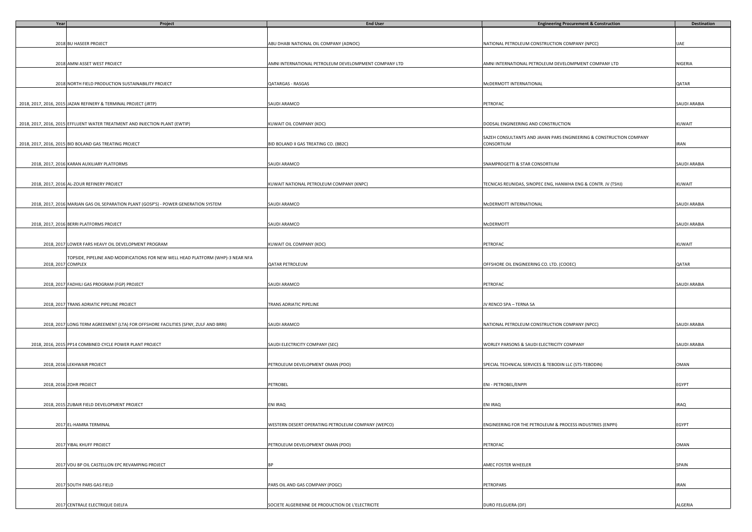| Year | Project                                                                             | <b>End User</b>                                       | <b>Engineering Procurement &amp; Construction</b>                   | <b>Destination</b> |
|------|-------------------------------------------------------------------------------------|-------------------------------------------------------|---------------------------------------------------------------------|--------------------|
|      |                                                                                     |                                                       |                                                                     |                    |
|      |                                                                                     |                                                       |                                                                     |                    |
|      | 2018 BU HASEER PROJECT                                                              | ABU DHABI NATIONAL OIL COMPANY (ADNOC)                | NATIONAL PETROLEUM CONSTRUCTION COMPANY (NPCC)                      | UAE                |
|      |                                                                                     |                                                       |                                                                     |                    |
|      | 2018 AMNI ASSET WEST PROJECT                                                        | AMNI INTERNATIONAL PETROLEUM DEVELOMPMENT COMPANY LTD | AMNI INTERNATIONAL PETROLEUM DEVELOMPMENT COMPANY LTD               | NIGERIA            |
|      |                                                                                     |                                                       |                                                                     |                    |
|      |                                                                                     |                                                       |                                                                     |                    |
|      | 2018 NORTH FIELD PRODUCTION SUSTAINABILITY PROJECT                                  | QATARGAS - RASGAS                                     | McDERMOTT INTERNATIONAL                                             | QATAR              |
|      |                                                                                     |                                                       |                                                                     |                    |
|      |                                                                                     |                                                       |                                                                     |                    |
|      | 2018, 2017, 2016, 2015 JAZAN REFINERY & TERMINAL PROJECT (JRTP)                     | SAUDI ARAMCO                                          | PETROFAC                                                            | SAUDI ARABIA       |
|      |                                                                                     |                                                       |                                                                     |                    |
|      |                                                                                     |                                                       |                                                                     |                    |
|      | 2018, 2017, 2016, 2015 EFFLUENT WATER TREATMENT AND INJECTION PLANT (EWTIP)         | KUWAIT OIL COMPANY (KOC)                              | DODSAL ENGINEERING AND CONSTRUCTION                                 | KUWAIT             |
|      |                                                                                     |                                                       |                                                                     |                    |
|      |                                                                                     |                                                       | SAZEH CONSULTANTS AND JAHAN PARS ENGINEERING & CONSTRUCTION COMPANY |                    |
|      | 2018, 2017, 2016, 2015 BID BOLAND GAS TREATING PROJECT                              | BID BOLAND II GAS TREATING CO. (BB2C)                 | CONSORTIUM                                                          | <b>IRAN</b>        |
|      |                                                                                     |                                                       |                                                                     |                    |
|      | 2018, 2017, 2016 KARAN AUXILIARY PLATFORMS                                          | SAUDI ARAMCO                                          | SNAMPROGETTI & STAR CONSORTIUM                                      | SAUDI ARABIA       |
|      |                                                                                     |                                                       |                                                                     |                    |
|      |                                                                                     |                                                       |                                                                     |                    |
|      | 2018, 2017, 2016 AL-ZOUR REFINERY PROJECT                                           | KUWAIT NATIONAL PETROLEUM COMPANY (KNPC)              | TECNICAS REUNIDAS, SINOPEC ENG, HANWHA ENG & CONTR. JV (TSHJ)       | KUWAIT             |
|      |                                                                                     |                                                       |                                                                     |                    |
|      |                                                                                     |                                                       |                                                                     |                    |
|      | 2018, 2017, 2016 MARJAN GAS OIL SEPARATION PLANT (GOSP'S) - POWER GENERATION SYSTEM | SAUDI ARAMCO                                          | McDERMOTT INTERNATIONAL                                             | SAUDI ARABIA       |
|      |                                                                                     |                                                       |                                                                     |                    |
|      |                                                                                     |                                                       |                                                                     |                    |
|      | 2018, 2017, 2016 BERRI PLATFORMS PROJECT                                            | SAUDI ARAMCO                                          | McDERMOTT                                                           | SAUDI ARABIA       |
|      |                                                                                     |                                                       |                                                                     |                    |
|      | 2018, 2017 LOWER FARS HEAVY OIL DEVELOPMENT PROGRAM                                 | KUWAIT OIL COMPANY (KOC)                              | PETROFAC                                                            | KUWAIT             |
|      |                                                                                     |                                                       |                                                                     |                    |
|      | TOPSIDE, PIPELINE AND MODIFICATIONS FOR NEW WELL HEAD PLATFORM (WHP)-3 NEAR NFA     |                                                       |                                                                     |                    |
|      | 2018, 2017 COMPLEX                                                                  | QATAR PETROLEUM                                       | OFFSHORE OIL ENGINEERING CO. LTD. (COOEC)                           | QATAR              |
|      |                                                                                     |                                                       |                                                                     |                    |
|      |                                                                                     |                                                       |                                                                     |                    |
|      | 2018, 2017 FADHILI GAS PROGRAM (FGP) PROJECT                                        | SAUDI ARAMCO                                          | PETROFAC                                                            | SAUDI ARABIA       |
|      |                                                                                     |                                                       |                                                                     |                    |
|      |                                                                                     |                                                       |                                                                     |                    |
|      | 2018, 2017 TRANS ADRIATIC PIPELINE PROJECT                                          | TRANS ADRIATIC PIPELINE                               | JV RENCO SPA - TERNA SA                                             |                    |
|      |                                                                                     |                                                       |                                                                     |                    |
|      |                                                                                     |                                                       |                                                                     |                    |
|      | 2018, 2017 LONG TERM AGREEMENT (LTA) FOR OFFSHORE FACILITIES (SFNY, ZULF AND BRRI)  | SAUDI ARAMCO                                          | NATIONAL PETROLEUM CONSTRUCTION COMPANY (NPCC)                      | SAUDI ARABIA       |
|      |                                                                                     |                                                       |                                                                     |                    |
|      | 2018, 2016, 2015 PP14 COMBINED CYCLE POWER PLANT PROJECT                            | SAUDI ELECTRICITY COMPANY (SEC)                       | WORLEY PARSONS & SAUDI ELECTRICITY COMPANY                          | SAUDI ARABIA       |
|      |                                                                                     |                                                       |                                                                     |                    |
|      |                                                                                     |                                                       |                                                                     |                    |
|      | 2018, 2016 LEKHWAIR PROJECT                                                         | PETROLEUM DEVELOPMENT OMAN (PDO)                      | SPECIAL TECHNICAL SERVICES & TEBODIN LLC (STS-TEBODIN)              | OMAN               |
|      |                                                                                     |                                                       |                                                                     |                    |
|      |                                                                                     |                                                       |                                                                     |                    |
|      | 2018, 2016 ZOHR PROJECT                                                             | PETROBEL                                              | ENI - PETROBEL/ENPPI                                                | EGYPT              |
|      |                                                                                     |                                                       |                                                                     |                    |
|      |                                                                                     |                                                       |                                                                     |                    |
|      | 2018, 2015 ZUBAIR FIELD DEVELOPMENT PROJECT                                         | ENI IRAQ                                              | ENI IRAQ                                                            | <b>IRAQ</b>        |
|      |                                                                                     |                                                       |                                                                     |                    |
|      | 2017 EL-HAMRA TERMINAL                                                              |                                                       |                                                                     |                    |
|      |                                                                                     | WESTERN DESERT OPERATING PETROLEUM COMPANY (WEPCO)    | ENGINEERING FOR THE PETROLEUM & PROCESS INDUSTRIES (ENPPI)          | EGYPT              |
|      |                                                                                     |                                                       |                                                                     |                    |
|      | 2017 YIBAL KHUFF PROJECT                                                            | PETROLEUM DEVELOPMENT OMAN (PDO)                      | PETROFAC                                                            | OMAN               |
|      |                                                                                     |                                                       |                                                                     |                    |
|      |                                                                                     |                                                       |                                                                     |                    |
|      | 2017 VDU BP OIL CASTELLON EPC REVAMPING PROJECT                                     |                                                       | AMEC FOSTER WHEELER                                                 | SPAIN              |
|      |                                                                                     |                                                       |                                                                     |                    |
|      |                                                                                     |                                                       |                                                                     |                    |
|      | 2017 SOUTH PARS GAS FIELD                                                           | PARS OIL AND GAS COMPANY (POGC)                       | PETROPARS                                                           | <b>IRAN</b>        |
|      |                                                                                     |                                                       |                                                                     |                    |
|      |                                                                                     |                                                       |                                                                     |                    |
|      | 2017 CENTRALE ELECTRIQUE DJELFA                                                     | SOCIETE ALGERIENNE DE PRODUCTION DE L'ELECTRICITE     | DURO FELGUERA (DF)                                                  | ALGERIA            |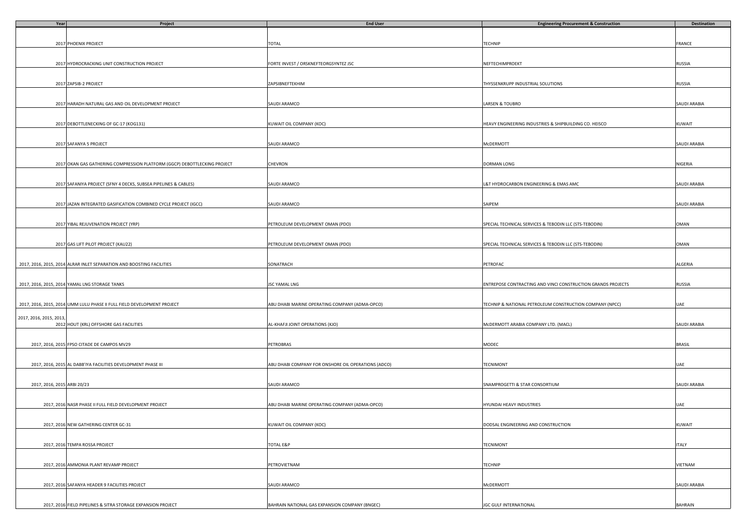| Year                        | Project                                                                   | <b>End User</b>                                     | <b>Engineering Procurement &amp; Construction</b>            | Destination    |
|-----------------------------|---------------------------------------------------------------------------|-----------------------------------------------------|--------------------------------------------------------------|----------------|
|                             |                                                                           |                                                     |                                                              |                |
|                             |                                                                           |                                                     |                                                              |                |
|                             | 2017 PHOENIX PROJECT                                                      | <b>TOTAL</b>                                        | TECHNIP                                                      | FRANCE         |
|                             |                                                                           |                                                     |                                                              |                |
|                             |                                                                           |                                                     |                                                              |                |
|                             | 2017 HYDROCRACKING UNIT CONSTRUCTION PROJECT                              | FORTE INVEST / ORSKNEFTEORGSYNTEZ JSC               | NEFTECHIMPROEKT                                              | RUSSIA         |
|                             |                                                                           |                                                     |                                                              |                |
|                             |                                                                           |                                                     |                                                              |                |
|                             | 2017 ZAPSIB-2 PROJECT                                                     | ZAPSIBNEFTEKHIM                                     | THYSSENKRUPP INDUSTRIAL SOLUTIONS                            | RUSSIA         |
|                             |                                                                           |                                                     |                                                              |                |
|                             |                                                                           |                                                     |                                                              |                |
|                             | 2017 HARADH NATURAL GAS AND OIL DEVELOPMENT PROJECT                       | SAUDI ARAMCO                                        | LARSEN & TOUBRO                                              | SAUDI ARABIA   |
|                             |                                                                           |                                                     |                                                              |                |
|                             |                                                                           |                                                     |                                                              |                |
|                             | 2017 DEBOTTLENECKING OF GC-17 (KOG131)                                    | KUWAIT OIL COMPANY (KOC)                            | HEAVY ENGINEERING INDUSTRIES & SHIPBUILDING CO. HEISCO       | KUWAIT         |
|                             |                                                                           |                                                     |                                                              |                |
|                             |                                                                           |                                                     |                                                              |                |
|                             | 2017 SAFANYA 5 PROJECT                                                    | SAUDI ARAMCO                                        | McDERMOTT                                                    | SAUDI ARABIA   |
|                             |                                                                           |                                                     |                                                              |                |
|                             |                                                                           | CHEVRON                                             |                                                              | NIGERIA        |
|                             | 2017 OKAN GAS GATHERING COMPRESSION PLATFORM (GGCP) DEBOTTLECKING PROJECT |                                                     | DORMAN LONG                                                  |                |
|                             |                                                                           |                                                     |                                                              |                |
|                             | 2017 SAFANIYA PROJECT (SFNY 4 DECKS, SUBSEA PIPELINES & CABLES)           | SAUDI ARAMCO                                        | &T HYDROCARBON ENGINEERING & EMAS AMC                        | SAUDI ARABIA   |
|                             |                                                                           |                                                     |                                                              |                |
|                             |                                                                           |                                                     |                                                              |                |
|                             | 2017 JAZAN INTEGRATED GASIFICATION COMBINED CYCLE PROJECT (IGCC)          | SAUDI ARAMCO                                        | SAIPEM                                                       | SAUDI ARABIA   |
|                             |                                                                           |                                                     |                                                              |                |
|                             |                                                                           |                                                     |                                                              |                |
|                             | 2017 YIBAL REJUVENATION PROJECT (YRP)                                     | PETROLEUM DEVELOPMENT OMAN (PDO)                    | SPECIAL TECHNICAL SERVICES & TEBODIN LLC (STS-TEBODIN)       | OMAN           |
|                             |                                                                           |                                                     |                                                              |                |
|                             |                                                                           |                                                     |                                                              |                |
|                             | 2017 GAS LIFT PILOT PROJECT (KAU22)                                       | PETROLEUM DEVELOPMENT OMAN (PDO)                    | SPECIAL TECHNICAL SERVICES & TEBODIN LLC (STS-TEBODIN)       | OMAN           |
|                             |                                                                           |                                                     |                                                              |                |
|                             |                                                                           |                                                     |                                                              |                |
|                             | 2017, 2016, 2015, 2014 ALRAR INLET SEPARATION AND BOOSTING FACILITIES     | SONATRACH                                           | PETROFAC                                                     | ALGERIA        |
|                             |                                                                           |                                                     |                                                              |                |
|                             |                                                                           |                                                     |                                                              |                |
|                             | 2017, 2016, 2015, 2014 YAMAL LNG STORAGE TANKS                            | JSC YAMAL LNG                                       | ENTREPOSE CONTRACTING AND VINCI CONSTRUCTION GRANDS PROJECTS | RUSSIA         |
|                             |                                                                           |                                                     |                                                              |                |
|                             |                                                                           |                                                     |                                                              |                |
|                             | 2017, 2016, 2015, 2014 UMM LULU PHASE II FULL FIELD DEVELOPMENT PROJECT   | ABU DHABI MARINE OPERATING COMPANY (ADMA-OPCO)      | TECHNIP & NATIONAL PETROLEUM CONSTRUCTION COMPANY (NPCC)     | UAE            |
|                             |                                                                           |                                                     |                                                              |                |
| 2017, 2016, 2015, 2013,     |                                                                           |                                                     |                                                              |                |
|                             | 2012 HOUT (KRL) OFFSHORE GAS FACILITIES                                   | AL-KHAFJI JOINT OPERATIONS (KJO)                    | McDERMOTT ARABIA COMPANY LTD. (MACL)                         | SAUDI ARABIA   |
|                             |                                                                           |                                                     |                                                              |                |
|                             |                                                                           |                                                     |                                                              |                |
|                             | 2017, 2016, 2015 FPSO CITADE DE CAMPOS MV29                               | PETROBRAS                                           | MODEC                                                        | <b>BRASIL</b>  |
|                             |                                                                           |                                                     |                                                              |                |
|                             |                                                                           |                                                     |                                                              |                |
|                             | 2017, 2016, 2015 AL DABB'IYA FACILITIES DEVELOPMENT PHASE III             | ABU DHABI COMPANY FOR ONSHORE OIL OPERATIONS (ADCO) | TECNIMONT                                                    | UAE            |
|                             |                                                                           |                                                     |                                                              |                |
|                             |                                                                           |                                                     | SNAMPROGETTI & STAR CONSORTIUM                               |                |
| 2017, 2016, 2015 ARBI 20/23 |                                                                           | SAUDI ARAMCO                                        |                                                              | SAUDI ARABIA   |
|                             |                                                                           |                                                     |                                                              |                |
|                             | 2017, 2016 NASR PHASE II FULL FIELD DEVELOPMENT PROJECT                   | ABU DHABI MARINE OPERATING COMPANY (ADMA-OPCO)      | HYUNDAI HEAVY INDUSTRIES                                     | UAE            |
|                             |                                                                           |                                                     |                                                              |                |
|                             |                                                                           |                                                     |                                                              |                |
|                             | 2017, 2016 NEW GATHERING CENTER GC-31                                     | KUWAIT OIL COMPANY (KOC)                            | DODSAL ENGINEERING AND CONSTRUCTION                          | KUWAIT         |
|                             |                                                                           |                                                     |                                                              |                |
|                             |                                                                           |                                                     |                                                              |                |
|                             | 2017, 2016 TEMPA ROSSA PROJECT                                            | <b>TOTAL E&amp;P</b>                                | <b>TECNIMONT</b>                                             | <b>ITALY</b>   |
|                             |                                                                           |                                                     |                                                              |                |
|                             |                                                                           |                                                     |                                                              |                |
|                             | 2017, 2016 AMMONIA PLANT REVAMP PROJECT                                   | PETROVIETNAM                                        | <b>TECHNIP</b>                                               | VIETNAM        |
|                             |                                                                           |                                                     |                                                              |                |
|                             |                                                                           |                                                     |                                                              |                |
|                             | 2017, 2016 SAFANYA HEADER 9 FACILITIES PROJECT                            | SAUDI ARAMCO                                        | McDERMOTT                                                    | SAUDI ARABIA   |
|                             |                                                                           |                                                     |                                                              |                |
|                             |                                                                           |                                                     |                                                              |                |
|                             | 2017, 2016 FIELD PIPELINES & SITRA STORAGE EXPANSION PROJECT              | BAHRAIN NATIONAL GAS EXPANSION COMPANY (BNGEC)      | <b>JGC GULF INTERNATIONAL</b>                                | <b>BAHRAIN</b> |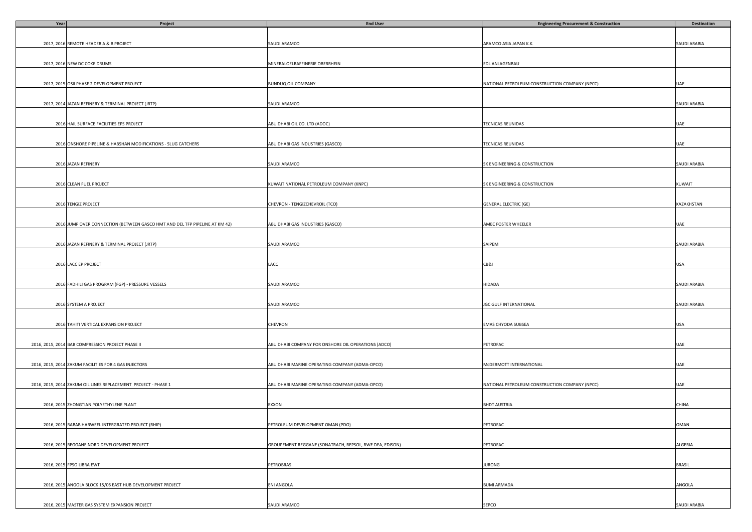| Year | Project                                                                     | <b>End User</b>                                         | <b>Engineering Procurement &amp; Construction</b> | Destination   |
|------|-----------------------------------------------------------------------------|---------------------------------------------------------|---------------------------------------------------|---------------|
|      |                                                                             |                                                         |                                                   |               |
|      |                                                                             |                                                         |                                                   |               |
|      | 2017, 2016 REMOTE HEADER A & B PROJECT                                      | SAUDI ARAMCO                                            | ARAMCO ASIA JAPAN K.K.                            | SAUDI ARABIA  |
|      |                                                                             |                                                         |                                                   |               |
|      |                                                                             | MINERALOELRAFFINERIE OBERRHEIN                          |                                                   |               |
|      | 2017, 2016 NEW DC COKE DRUMS                                                |                                                         | EDL ANLAGENBAU                                    |               |
|      |                                                                             |                                                         |                                                   |               |
|      | 2017, 2015 OSII PHASE 2 DEVELOPMENT PROJECT                                 | BUNDUQ OIL COMPANY                                      | NATIONAL PETROLEUM CONSTRUCTION COMPANY (NPCC)    | UAE           |
|      |                                                                             |                                                         |                                                   |               |
|      |                                                                             |                                                         |                                                   |               |
|      | 2017, 2014 JAZAN REFINERY & TERMINAL PROJECT (JRTP)                         | SAUDI ARAMCO                                            |                                                   | SAUDI ARABIA  |
|      |                                                                             |                                                         |                                                   |               |
|      |                                                                             |                                                         |                                                   |               |
|      | 2016 HAIL SURFACE FACILITIES EPS PROJECT                                    | ABU DHABI OIL CO. LTD (ADOC)                            | TECNICAS REUNIDAS                                 | UAE           |
|      |                                                                             |                                                         |                                                   |               |
|      |                                                                             |                                                         |                                                   |               |
|      | 2016 ONSHORE PIPELINE & HABSHAN MODIFICATIONS - SLUG CATCHERS               | ABU DHABI GAS INDUSTRIES (GASCO)                        | TECNICAS REUNIDAS                                 | UAE           |
|      |                                                                             |                                                         |                                                   |               |
|      |                                                                             |                                                         |                                                   |               |
|      | 2016 JAZAN REFINERY                                                         | SAUDI ARAMCO                                            | SK ENGINEERING & CONSTRUCTION                     | SAUDI ARABIA  |
|      |                                                                             |                                                         |                                                   |               |
|      | 2016 CLEAN FUEL PROJECT                                                     | KUWAIT NATIONAL PETROLEUM COMPANY (KNPC)                | SK ENGINEERING & CONSTRUCTION                     | KUWAIT        |
|      |                                                                             |                                                         |                                                   |               |
|      |                                                                             |                                                         |                                                   |               |
|      | 2016 TENGIZ PROJECT                                                         | CHEVRON - TENGIZCHEVROIL (TCO)                          | <b>GENERAL ELECTRIC (GE)</b>                      | KAZAKHSTAN    |
|      |                                                                             |                                                         |                                                   |               |
|      |                                                                             |                                                         |                                                   |               |
|      | 2016 JUMP OVER CONNECTION (BETWEEN GASCO HMT AND DEL TFP PIPELINE AT KM 42) | ABU DHABI GAS INDUSTRIES (GASCO)                        | AMEC FOSTER WHEELER                               | UAE           |
|      |                                                                             |                                                         |                                                   |               |
|      |                                                                             |                                                         |                                                   |               |
|      | 2016 JAZAN REFINERY & TERMINAL PROJECT (JRTP)                               | SAUDI ARAMCO                                            | SAIPEM                                            | SAUDI ARABIA  |
|      |                                                                             |                                                         |                                                   |               |
|      |                                                                             |                                                         |                                                   |               |
|      | 2016 LACC EP PROJECT                                                        | LACC                                                    | CB&I                                              | USA           |
|      |                                                                             |                                                         |                                                   |               |
|      |                                                                             |                                                         |                                                   |               |
|      | 2016 FADHILI GAS PROGRAM (FGP) - PRESSURE VESSELS                           | SAUDI ARAMCO                                            | HIDADA                                            | SAUDI ARABIA  |
|      |                                                                             |                                                         |                                                   |               |
|      | 2016 SYSTEM A PROJECT                                                       | SAUDI ARAMCO                                            | JGC GULF INTERNATIONAL                            | SAUDI ARABIA  |
|      |                                                                             |                                                         |                                                   |               |
|      |                                                                             |                                                         |                                                   |               |
|      | 2016 TAHITI VERTICAL EXPANSION PROJECT                                      | CHEVRON                                                 | EMAS CHYODA SUBSEA                                | USA           |
|      |                                                                             |                                                         |                                                   |               |
|      |                                                                             |                                                         |                                                   |               |
|      | 2016, 2015, 2014 BAB COMPRESSION PROJECT PHASE II                           | ABU DHABI COMPANY FOR ONSHORE OIL OPERATIONS (ADCO)     | PETROFAC                                          | UAE           |
|      |                                                                             |                                                         |                                                   |               |
|      |                                                                             |                                                         |                                                   |               |
|      | 2016, 2015, 2014 ZAKUM FACILITIES FOR 4 GAS INJECTORS                       | ABU DHABI MARINE OPERATING COMPANY (ADMA-OPCO)          | MCDERMOTT INTERNATIONAL                           | UAE           |
|      |                                                                             |                                                         |                                                   |               |
|      |                                                                             |                                                         |                                                   |               |
|      | 2016, 2015, 2014 ZAKUM OIL LINES REPLACEMENT PROJECT - PHASE 1              | ABU DHABI MARINE OPERATING COMPANY (ADMA-OPCO)          | NATIONAL PETROLEUM CONSTRUCTION COMPANY (NPCC)    | UAE           |
|      |                                                                             |                                                         |                                                   |               |
|      | 2016, 2015 ZHONGTIAN POLYETHYLENE PLANT                                     | EXXON                                                   |                                                   | CHINA         |
|      |                                                                             |                                                         | <b>BHDT AUSTRIA</b>                               |               |
|      |                                                                             |                                                         |                                                   |               |
|      | 2016, 2015 RABAB HARWEEL INTERGRATED PROJECT (RHIP)                         | PETROLEUM DEVELOPMENT OMAN (PDO)                        | PETROFAC                                          | OMAN          |
|      |                                                                             |                                                         |                                                   |               |
|      |                                                                             |                                                         |                                                   |               |
|      | 2016, 2015 REGGANE NORD DEVELOPMENT PROJECT                                 | GROUPEMENT REGGANE (SONATRACH, REPSOL, RWE DEA, EDISON) | PETROFAC                                          | ALGERIA       |
|      |                                                                             |                                                         |                                                   |               |
|      |                                                                             |                                                         |                                                   |               |
|      | 2016, 2015 FPSO LIBRA EWT                                                   | <b>PETROBRAS</b>                                        | <b>JURONG</b>                                     | <b>BRASIL</b> |
|      |                                                                             |                                                         |                                                   |               |
|      |                                                                             |                                                         |                                                   |               |
|      | 2016, 2015 ANGOLA BLOCK 15/06 EAST HUB DEVELOPMENT PROJECT                  | <b>ENI ANGOLA</b>                                       | <b>BUMI ARMADA</b>                                | ANGOLA        |
|      |                                                                             |                                                         |                                                   |               |
|      |                                                                             |                                                         |                                                   |               |
|      | 2016, 2015 MASTER GAS SYSTEM EXPANSION PROJECT                              | SAUDI ARAMCO                                            | SEPCO                                             | SAUDI ARABIA  |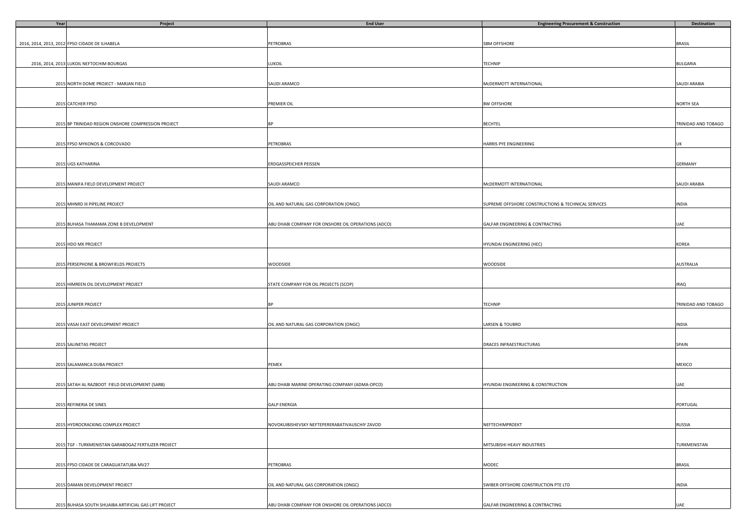| Year | Project                                               | <b>End User</b>                                     | <b>Engineering Procurement &amp; Construction</b>   | Destination         |
|------|-------------------------------------------------------|-----------------------------------------------------|-----------------------------------------------------|---------------------|
|      |                                                       |                                                     |                                                     |                     |
|      |                                                       |                                                     |                                                     |                     |
|      | 2016, 2014, 2013, 2012 FPSO CIDADE DE ILHABELA        | PETROBRAS                                           | SBM OFFSHORE                                        | <b>BRASIL</b>       |
|      |                                                       |                                                     |                                                     |                     |
|      |                                                       |                                                     |                                                     |                     |
|      | 2016, 2014, 2013 LUKOIL NEFTOCHIM BOURGAS             | LUKOIL                                              | TECHNIP                                             | <b>BULGARIA</b>     |
|      |                                                       |                                                     |                                                     |                     |
|      |                                                       |                                                     |                                                     |                     |
|      | 2015 NORTH DOME PROJECT - MARJAN FIELD                | SAUDI ARAMCO                                        | McDERMOTT INTERNATIONAL                             | SAUDI ARABIA        |
|      |                                                       |                                                     |                                                     |                     |
|      |                                                       |                                                     |                                                     |                     |
|      | 2015 CATCHER FPSO                                     | PREMIER OIL                                         | BW OFFSHORE                                         | <b>NORTH SEA</b>    |
|      |                                                       |                                                     |                                                     |                     |
|      |                                                       |                                                     |                                                     |                     |
|      | 2015 BP TRINIDAD REGION ONSHORE COMPRESSION PROJECT   | <b>BP</b>                                           | BECHTEL                                             | TRINIDAD AND TOBAGO |
|      |                                                       |                                                     |                                                     |                     |
|      |                                                       |                                                     |                                                     |                     |
|      |                                                       |                                                     |                                                     |                     |
|      | 2015 FPSO MYKONOS & CORCOVADO                         | PETROBRAS                                           | HARRIS PYE ENGINEERING                              | UK                  |
|      |                                                       |                                                     |                                                     |                     |
|      |                                                       |                                                     |                                                     |                     |
|      | 2015 UGS KATHARINA                                    | ERDGASSPEICHER PEISSEN                              |                                                     | <b>GERMANY</b>      |
|      |                                                       |                                                     |                                                     |                     |
|      |                                                       |                                                     |                                                     |                     |
|      | 2015 MANIFA FIELD DEVELOPMENT PROJECT                 | SAUDI ARAMCO                                        | McDERMOTT INTERNATIONAL                             | SAUDI ARABIA        |
|      |                                                       |                                                     |                                                     |                     |
|      |                                                       |                                                     |                                                     |                     |
|      | 2015 MHNRD III PIPELINE PROJECT                       | OIL AND NATURAL GAS CORPORATION (ONGC)              | SUPREME OFFSHORE CONSTRUCTIONS & TECHNICAL SERVICES | <b>INDIA</b>        |
|      |                                                       |                                                     |                                                     |                     |
|      |                                                       |                                                     |                                                     |                     |
|      | 2015 BUHASA THAMAMA ZONE B DEVELOPMENT                | ABU DHABI COMPANY FOR ONSHORE OIL OPERATIONS (ADCO) | GALFAR ENGINEERING & CONTRACTING                    | UAE                 |
|      |                                                       |                                                     |                                                     |                     |
|      |                                                       |                                                     |                                                     |                     |
|      | 2015 HDO MX PROJECT                                   |                                                     | HYUNDAI ENGINEERING (HEC)                           | KOREA               |
|      |                                                       |                                                     |                                                     |                     |
|      |                                                       |                                                     |                                                     |                     |
|      | 2015 PERSEPHONE & BROWFIELDS PROJECTS                 | WOODSIDE                                            | WOODSIDE                                            | <b>AUSTRALIA</b>    |
|      |                                                       |                                                     |                                                     |                     |
|      |                                                       |                                                     |                                                     |                     |
|      | 2015 HIMREEN OIL DEVELOPMENT PROJECT                  | STATE COMPANY FOR OIL PROJECTS (SCOP)               |                                                     | <b>IRAQ</b>         |
|      |                                                       |                                                     |                                                     |                     |
|      |                                                       |                                                     |                                                     |                     |
|      | 2015 JUNIPER PROJECT                                  |                                                     | TECHNIP                                             | TRINIDAD AND TOBAGO |
|      |                                                       |                                                     |                                                     |                     |
|      |                                                       |                                                     |                                                     |                     |
|      |                                                       |                                                     |                                                     |                     |
|      | 2015 VASAI EAST DEVELOPMENT PROJECT                   | OIL AND NATURAL GAS CORPORATION (ONGC)              | LARSEN & TOUBRO                                     | INDIA               |
|      |                                                       |                                                     |                                                     |                     |
|      |                                                       |                                                     |                                                     |                     |
|      | 2015 SALINETAS PROJECT                                |                                                     | DRACES INFRAESTRUCTURAS                             | SPAIN               |
|      |                                                       |                                                     |                                                     |                     |
|      |                                                       |                                                     |                                                     |                     |
|      | 2015 SALAMANCA DUBA PROJECT                           | PEMEX                                               |                                                     | MEXICO              |
|      |                                                       |                                                     |                                                     |                     |
|      |                                                       |                                                     |                                                     |                     |
|      | 2015 SATAH AL RAZBOOT FIELD DEVELOPMENT (SARB)        | ABU DHABI MARINE OPERATING COMPANY (ADMA-OPCO)      | HYUNDAI ENGINEERING & CONSTRUCTION                  | UAE                 |
|      |                                                       |                                                     |                                                     |                     |
|      |                                                       |                                                     |                                                     |                     |
|      | 2015 REFINERIA DE SINES                               | <b>GALP ENERGIA</b>                                 |                                                     | PORTUGAL            |
|      |                                                       |                                                     |                                                     |                     |
|      |                                                       |                                                     |                                                     |                     |
|      | 2015 HYDROCRACKING COMPLEX PROJECT                    | NOVOKUIBISHEVSKY NEFTEPERERABATIVAUSCHIY ZAVOD      | NEFTECHIMPROEKT                                     | RUSSIA              |
|      |                                                       |                                                     |                                                     |                     |
|      |                                                       |                                                     |                                                     |                     |
|      | 2015 TGF - TURKMENISTAN GARABOGAZ FERTILIZER PROJECT  |                                                     | MITSUBISHI HEAVY INDUSTRIES                         | TURKMENISTAN        |
|      |                                                       |                                                     |                                                     |                     |
|      |                                                       |                                                     |                                                     |                     |
|      | 2015 FPSO CIDADE DE CARAGUATATUBA MV27                | PETROBRAS                                           | MODEC                                               | <b>BRASIL</b>       |
|      |                                                       |                                                     |                                                     |                     |
|      |                                                       |                                                     |                                                     |                     |
|      | 2015 DAMAN DEVELOPMENT PROJECT                        | OIL AND NATURAL GAS CORPORATION (ONGC)              | SWIBER OFFSHORE CONSTRUCTION PTE LTD                | <b>INDIA</b>        |
|      |                                                       |                                                     |                                                     |                     |
|      |                                                       |                                                     |                                                     |                     |
|      |                                                       |                                                     |                                                     |                     |
|      | 2015 BUHASA SOUTH SHUAIBA ARTIFICIAL GAS LIFT PROJECT | ABU DHABI COMPANY FOR ONSHORE OIL OPERATIONS (ADCO) | GALFAR ENGINEERING & CONTRACTING                    | UAE                 |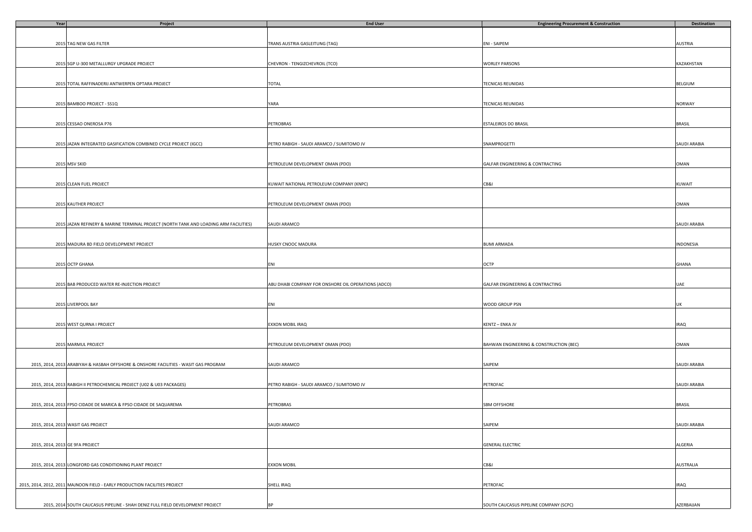| Year                            | Project                                                                               | <b>End User</b>                                     | <b>Engineering Procurement &amp; Construction</b> | <b>Destination</b> |
|---------------------------------|---------------------------------------------------------------------------------------|-----------------------------------------------------|---------------------------------------------------|--------------------|
|                                 |                                                                                       |                                                     |                                                   |                    |
|                                 |                                                                                       |                                                     |                                                   |                    |
|                                 | 2015 TAG NEW GAS FILTER                                                               | TRANS AUSTRIA GASLEITUNG (TAG)                      | ENI - SAIPEM                                      | AUSTRIA            |
|                                 |                                                                                       |                                                     |                                                   |                    |
|                                 |                                                                                       |                                                     |                                                   |                    |
|                                 | 2015 SGP U-300 METALLURGY UPGRADE PROJECT                                             | CHEVRON - TENGIZCHEVROIL (TCO)                      | WORLEY PARSONS                                    | KAZAKHSTAN         |
|                                 |                                                                                       |                                                     |                                                   |                    |
|                                 |                                                                                       |                                                     |                                                   |                    |
|                                 | 2015 TOTAL RAFFINADERIJ ANTWERPEN OPTARA PROJECT                                      | TOTAL                                               | <b>TECNICAS REUNIDAS</b>                          | BELGIUM            |
|                                 |                                                                                       |                                                     |                                                   |                    |
|                                 |                                                                                       |                                                     |                                                   |                    |
|                                 | 2015 BAMBOO PROJECT - SS1Q                                                            | YARA                                                | TECNICAS REUNIDAS                                 | NORWAY             |
|                                 |                                                                                       |                                                     |                                                   |                    |
|                                 |                                                                                       |                                                     |                                                   |                    |
|                                 | 2015 CESSAO ONEROSA P76                                                               | PETROBRAS                                           | <b>ESTALEIROS DO BRASIL</b>                       | <b>BRASIL</b>      |
|                                 |                                                                                       |                                                     |                                                   |                    |
|                                 |                                                                                       |                                                     |                                                   |                    |
|                                 | 2015 JAZAN INTEGRATED GASIFICATION COMBINED CYCLE PROJECT (IGCC)                      | PETRO RABIGH - SAUDI ARAMCO / SUMITOMO JV           | SNAMPROGETTI                                      | SAUDI ARABIA       |
|                                 |                                                                                       |                                                     |                                                   |                    |
|                                 |                                                                                       |                                                     |                                                   |                    |
|                                 | 2015 MSV SKID                                                                         | PETROLEUM DEVELOPMENT OMAN (PDO)                    | GALFAR ENGINEERING & CONTRACTING                  | OMAN               |
|                                 |                                                                                       |                                                     |                                                   |                    |
|                                 |                                                                                       |                                                     |                                                   |                    |
|                                 | 2015 CLEAN FUEL PROJECT                                                               | KUWAIT NATIONAL PETROLEUM COMPANY (KNPC)            | CB&I                                              | KUWAIT             |
|                                 |                                                                                       |                                                     |                                                   |                    |
|                                 |                                                                                       |                                                     |                                                   |                    |
|                                 |                                                                                       |                                                     |                                                   |                    |
|                                 | 2015 KAUTHER PROJECT                                                                  | PETROLEUM DEVELOPMENT OMAN (PDO)                    |                                                   | OMAN               |
|                                 |                                                                                       |                                                     |                                                   |                    |
|                                 |                                                                                       |                                                     |                                                   |                    |
|                                 | 2015 JAZAN REFINERY & MARINE TERMINAL PROJECT (NORTH TANK AND LOADING ARM FACILITIES) | SAUDI ARAMCO                                        |                                                   | SAUDI ARABIA       |
|                                 |                                                                                       |                                                     |                                                   |                    |
|                                 |                                                                                       |                                                     |                                                   |                    |
|                                 | 2015 MADURA BD FIELD DEVELOPMENT PROJECT                                              | HUSKY CNOOC MADURA                                  | <b>BUMI ARMADA</b>                                | INDONESIA          |
|                                 |                                                                                       |                                                     |                                                   |                    |
|                                 |                                                                                       |                                                     |                                                   |                    |
|                                 | 2015 OCTP GHANA                                                                       | ENI                                                 | OCTP                                              | GHANA              |
|                                 |                                                                                       |                                                     |                                                   |                    |
|                                 |                                                                                       |                                                     |                                                   |                    |
|                                 | 2015 BAB PRODUCED WATER RE-INJECTION PROJECT                                          | ABU DHABI COMPANY FOR ONSHORE OIL OPERATIONS (ADCO) | GALFAR ENGINEERING & CONTRACTING                  | UAE                |
|                                 |                                                                                       |                                                     |                                                   |                    |
|                                 |                                                                                       |                                                     |                                                   |                    |
|                                 | 2015 LIVERPOOL BAY                                                                    | ENI                                                 | WOOD GROUP PSN                                    | UK                 |
|                                 |                                                                                       |                                                     |                                                   |                    |
|                                 |                                                                                       |                                                     |                                                   |                    |
|                                 | 2015 WEST QURNA I PROJECT                                                             | EXXON MOBIL IRAQ                                    | KENTZ - ENKA JV                                   | <b>IRAQ</b>        |
|                                 |                                                                                       |                                                     |                                                   |                    |
|                                 |                                                                                       |                                                     |                                                   |                    |
|                                 | 2015 MARMUL PROJECT                                                                   | PETROLEUM DEVELOPMENT OMAN (PDO)                    | BAHWAN ENGINEERING & CONSTRUCTION (BEC)           | OMAN               |
|                                 |                                                                                       |                                                     |                                                   |                    |
|                                 |                                                                                       |                                                     |                                                   |                    |
|                                 | 2015, 2014, 2013 ARABIYAH & HASBAH OFFSHORE & ONSHORE FACILITIES - WASIT GAS PROGRAM  | SAUDI ARAMCO                                        | SAIPEM                                            | SAUDI ARABIA       |
|                                 |                                                                                       |                                                     |                                                   |                    |
|                                 |                                                                                       |                                                     |                                                   |                    |
|                                 | 2015, 2014, 2013 RABIGH II PETROCHEMICAL PROJECT (U02 & U03 PACKAGES)                 | PETRO RABIGH - SAUDI ARAMCO / SUMITOMO JV           | PETROFAC                                          | SAUDI ARABIA       |
|                                 |                                                                                       |                                                     |                                                   |                    |
|                                 |                                                                                       |                                                     |                                                   |                    |
|                                 | 2015, 2014, 2013 FPSO CIDADE DE MARICA & FPSO CIDADE DE SAQUAREMA                     | PETROBRAS                                           | <b>SBM OFFSHORE</b>                               | <b>BRASIL</b>      |
|                                 |                                                                                       |                                                     |                                                   |                    |
|                                 |                                                                                       |                                                     |                                                   |                    |
|                                 | 2015, 2014, 2013 WASIT GAS PROJECT                                                    | SAUDI ARAMCO                                        | SAIPEM                                            | SAUDI ARABIA       |
|                                 |                                                                                       |                                                     |                                                   |                    |
|                                 |                                                                                       |                                                     |                                                   |                    |
| 2015, 2014, 2013 GE 9FA PROJECT |                                                                                       |                                                     | <b>GENERAL ELECTRIC</b>                           | ALGERIA            |
|                                 |                                                                                       |                                                     |                                                   |                    |
|                                 |                                                                                       |                                                     |                                                   |                    |
|                                 |                                                                                       |                                                     |                                                   |                    |
|                                 | 2015, 2014, 2013 LONGFORD GAS CONDITIONING PLANT PROJECT                              | <b>EXXON MOBIL</b>                                  | CB&I                                              | <b>AUSTRALIA</b>   |
|                                 |                                                                                       |                                                     |                                                   |                    |
|                                 |                                                                                       |                                                     |                                                   |                    |
|                                 | 2015, 2014, 2012, 2011 MAJNOON FIELD - EARLY PRODUCTION FACILITIES PROJECT            | SHELL IRAQ                                          | PETROFAC                                          | <b>IRAQ</b>        |
|                                 |                                                                                       |                                                     |                                                   |                    |
|                                 |                                                                                       |                                                     |                                                   |                    |
|                                 | 2015, 2014 SOUTH CAUCASUS PIPELINE - SHAH DENIZ FULL FIELD DEVELOPMENT PROJECT        | BP                                                  | SOUTH CAUCASUS PIPELINE COMPANY (SCPC)            | AZERBAIJAN         |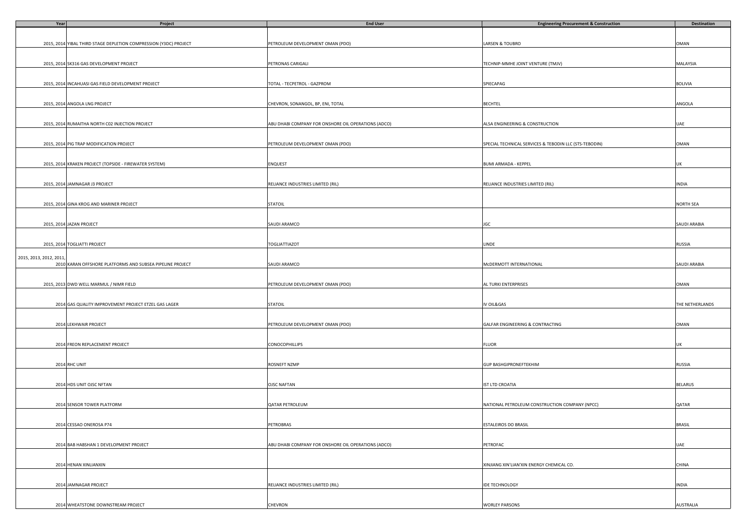| Year                   | Project                                                           | <b>End User</b>                                     | <b>Engineering Procurement &amp; Construction</b>      | Destination      |
|------------------------|-------------------------------------------------------------------|-----------------------------------------------------|--------------------------------------------------------|------------------|
|                        |                                                                   |                                                     |                                                        |                  |
|                        |                                                                   |                                                     |                                                        |                  |
|                        | 2015, 2014 YIBAL THIRD STAGE DEPLETION COMPRESSION (Y3DC) PROJECT | PETROLEUM DEVELOPMENT OMAN (PDO)                    | LARSEN & TOUBRO                                        | OMAN             |
|                        |                                                                   |                                                     |                                                        |                  |
|                        |                                                                   |                                                     |                                                        |                  |
|                        | 2015, 2014 SK316 GAS DEVELOPMENT PROJECT                          | PETRONAS CARIGALI                                   | TECHNIP-MMHE JOINT VENTURE (TMJV)                      | MALAYSIA         |
|                        |                                                                   |                                                     |                                                        |                  |
|                        |                                                                   |                                                     |                                                        |                  |
|                        |                                                                   |                                                     |                                                        | <b>BOLIVIA</b>   |
|                        | 2015, 2014 INCAHUASI GAS FIELD DEVELOPMENT PROJECT                | TOTAL - TECPETROL - GAZPROM                         | SPIECAPAG                                              |                  |
|                        |                                                                   |                                                     |                                                        |                  |
|                        |                                                                   |                                                     |                                                        |                  |
|                        | 2015, 2014 ANGOLA LNG PROJECT                                     | CHEVRON, SONANGOL, BP, ENI, TOTAL                   | <b>BECHTEL</b>                                         | ANGOLA           |
|                        |                                                                   |                                                     |                                                        |                  |
|                        |                                                                   |                                                     |                                                        |                  |
|                        | 2015, 2014 RUMAITHA NORTH C02 INJECTION PROJECT                   | ABU DHABI COMPANY FOR ONSHORE OIL OPERATIONS (ADCO) | ALSA ENGINEERING & CONSTRUCTION                        | UAE              |
|                        |                                                                   |                                                     |                                                        |                  |
|                        |                                                                   |                                                     |                                                        |                  |
|                        | 2015, 2014 PIG TRAP MODIFICATION PROJECT                          | PETROLEUM DEVELOPMENT OMAN (PDO)                    | SPECIAL TECHNICAL SERVICES & TEBODIN LLC (STS-TEBODIN) | OMAN             |
|                        |                                                                   |                                                     |                                                        |                  |
|                        |                                                                   |                                                     |                                                        |                  |
|                        | 2015, 2014 KRAKEN PROJECT (TOPSIDE - FIREWATER SYSTEM)            | ENQUEST                                             | <b>BUMI ARMADA - KEPPEL</b>                            | UK               |
|                        |                                                                   |                                                     |                                                        |                  |
|                        |                                                                   |                                                     |                                                        |                  |
|                        | 2015, 2014 JAMNAGAR J3 PROJECT                                    | RELIANCE INDUSTRIES LIMITED (RIL)                   | RELIANCE INDUSTRIES LIMITED (RIL)                      | <b>INDIA</b>     |
|                        |                                                                   |                                                     |                                                        |                  |
|                        |                                                                   |                                                     |                                                        |                  |
|                        | 2015, 2014 GINA KROG AND MARINER PROJECT                          | <b>STATOIL</b>                                      |                                                        | <b>NORTH SEA</b> |
|                        |                                                                   |                                                     |                                                        |                  |
|                        |                                                                   |                                                     |                                                        |                  |
|                        | 2015, 2014 JAZAN PROJECT                                          | SAUDI ARAMCO                                        | JGC                                                    | SAUDI ARABIA     |
|                        |                                                                   |                                                     |                                                        |                  |
|                        |                                                                   |                                                     |                                                        |                  |
|                        | 2015, 2014 TOGLIATTI PROJECT                                      | TOGLIATTIAZOT                                       |                                                        |                  |
|                        |                                                                   |                                                     | LINDE                                                  | RUSSIA           |
|                        |                                                                   |                                                     |                                                        |                  |
| 2015, 2013, 2012, 2011 |                                                                   |                                                     |                                                        |                  |
|                        | 2010 KARAN OFFSHORE PLATFORMS AND SUBSEA PIPELINE PROJECT         | SAUDI ARAMCO                                        | MCDERMOTT INTERNATIONAL                                | SAUDI ARABIA     |
|                        |                                                                   |                                                     |                                                        |                  |
|                        |                                                                   |                                                     |                                                        |                  |
|                        | 2015, 2013 DWD WELL MARMUL / NIMR FIELD                           | PETROLEUM DEVELOPMENT OMAN (PDO)                    | AL TURKI ENTERPRISES                                   | OMAN             |
|                        |                                                                   |                                                     |                                                        |                  |
|                        |                                                                   |                                                     |                                                        |                  |
|                        | 2014 GAS QUALITY IMPROVEMENT PROJECT ETZEL GAS LAGER              | <b>STATOIL</b>                                      | IV OIL&GAS                                             | THE NETHERLANDS  |
|                        |                                                                   |                                                     |                                                        |                  |
|                        |                                                                   |                                                     |                                                        |                  |
|                        | 2014 LEKHWAIR PROJECT                                             | PETROLEUM DEVELOPMENT OMAN (PDO)                    | GALFAR ENGINEERING & CONTRACTING                       | OMAN             |
|                        |                                                                   |                                                     |                                                        |                  |
|                        |                                                                   |                                                     |                                                        |                  |
|                        | 2014 FREON REPLACEMENT PROJECT                                    | <b>CONOCOPHILLIPS</b>                               | <b>FLUOR</b>                                           | UK               |
|                        |                                                                   |                                                     |                                                        |                  |
|                        |                                                                   |                                                     |                                                        |                  |
|                        | 2014 RHC UNIT                                                     | ROSNEFT NZMP                                        | <b>GUP BASHGIPRONEFTEKHIM</b>                          | RUSSIA           |
|                        |                                                                   |                                                     |                                                        |                  |
|                        |                                                                   |                                                     |                                                        |                  |
|                        | 2014 HDS UNIT OJSC NFTAN                                          | <b>OJSC NAFTAN</b>                                  | IST LTD CROATIA                                        | <b>BELARUS</b>   |
|                        |                                                                   |                                                     |                                                        |                  |
|                        |                                                                   |                                                     |                                                        |                  |
|                        | 2014 SENSOR TOWER PLATFORM                                        | QATAR PETROLEUM                                     | NATIONAL PETROLEUM CONSTRUCTION COMPANY (NPCC)         | QATAR            |
|                        |                                                                   |                                                     |                                                        |                  |
|                        |                                                                   |                                                     |                                                        |                  |
|                        |                                                                   |                                                     |                                                        |                  |
|                        | 2014 CESSAO ONEROSA P74                                           | <b>PETROBRAS</b>                                    | ESTALEIROS DO BRASIL                                   | <b>BRASIL</b>    |
|                        |                                                                   |                                                     |                                                        |                  |
|                        |                                                                   |                                                     |                                                        |                  |
|                        | 2014 BAB HABSHAN 1 DEVELOPMENT PROJECT                            | ABU DHABI COMPANY FOR ONSHORE OIL OPERATIONS (ADCO) | PETROFAC                                               | UAE              |
|                        |                                                                   |                                                     |                                                        |                  |
|                        |                                                                   |                                                     |                                                        |                  |
|                        | 2014 HENAN XINLIANXIN                                             |                                                     | XINJIANG XIN'LIAN'XIN ENERGY CHEMICAL CO.              | CHINA            |
|                        |                                                                   |                                                     |                                                        |                  |
|                        |                                                                   |                                                     |                                                        |                  |
|                        | 2014 JAMNAGAR PROJECT                                             | RELIANCE INDUSTRIES LIMITED (RIL)                   | <b>IDE TECHNOLOGY</b>                                  | <b>INDIA</b>     |
|                        |                                                                   |                                                     |                                                        |                  |
|                        |                                                                   |                                                     |                                                        |                  |
|                        | 2014 WHEATSTONE DOWNSTREAM PROJECT                                | CHEVRON                                             | <b>WORLEY PARSONS</b>                                  | <b>AUSTRALIA</b> |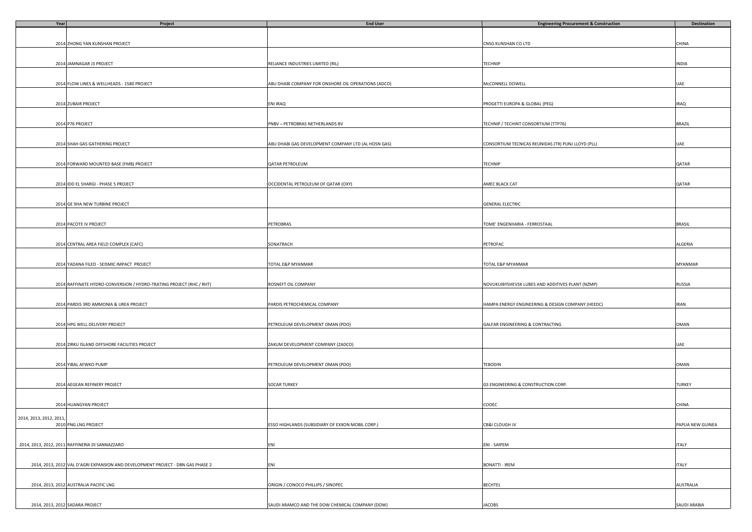| Year                    | Project                                                                         | <b>End User</b>                                     | <b>Engineering Procurement &amp; Construction</b>  | <b>Destination</b> |
|-------------------------|---------------------------------------------------------------------------------|-----------------------------------------------------|----------------------------------------------------|--------------------|
|                         |                                                                                 |                                                     |                                                    |                    |
|                         |                                                                                 |                                                     |                                                    |                    |
|                         | 2014 ZHONG YAN KUNSHAN PROJECT                                                  |                                                     | CNSG KUNSHAN CO LTD                                | CHINA              |
|                         |                                                                                 |                                                     |                                                    |                    |
|                         |                                                                                 |                                                     |                                                    |                    |
|                         | 2014 JAMNAGAR J3 PROJECT                                                        | RELIANCE INDUSTRIES LIMITED (RIL)                   | TECHNIP                                            | INDIA              |
|                         |                                                                                 |                                                     |                                                    |                    |
|                         |                                                                                 |                                                     |                                                    |                    |
|                         | 2014 FLOW LINES & WELLHEADS - 1580 PROJECT                                      | ABU DHABI COMPANY FOR ONSHORE OIL OPERATIONS (ADCO) | McCONNELL DOWELL                                   | UAE                |
|                         |                                                                                 |                                                     |                                                    |                    |
|                         |                                                                                 |                                                     |                                                    |                    |
|                         | 2014 ZUBAIR PROJECT                                                             | ENI IRAQ                                            | PROGETTI EUROPA & GLOBAL (PEG)                     | <b>IRAQ</b>        |
|                         |                                                                                 |                                                     |                                                    |                    |
|                         |                                                                                 |                                                     |                                                    |                    |
|                         | 2014 P76 PROJECT                                                                | PNBV - PETROBRAS NETHERLANDS BV                     | TECHNIP / TECHINT CONSORTIUM (TTP76)               | <b>BRAZIL</b>      |
|                         |                                                                                 |                                                     |                                                    |                    |
|                         |                                                                                 |                                                     |                                                    |                    |
|                         | 2014 SHAH GAS GATHERING PROJECT                                                 | ABU DHABI GAS DEVELOPMENT COMPANY LTD (AL HOSN GAS) | CONSORTIUM TECNICAS REUNIDAS (TR) PUNJ LLOYD (PLL) | UAE                |
|                         |                                                                                 |                                                     |                                                    |                    |
|                         |                                                                                 |                                                     |                                                    |                    |
|                         | 2014 FORWARD MOUNTED BASE (FMB) PROJECT                                         | QATAR PETROLEUM                                     | <b>TECHNIP</b>                                     | QATAR              |
|                         |                                                                                 |                                                     |                                                    |                    |
|                         |                                                                                 |                                                     |                                                    |                    |
|                         | 2014 IDD EL SHARGI - PHASE 5 PROJECT                                            | OCCIDENTAL PETROLEUM OF QATAR (OXY)                 | AMEC BLACK CAT                                     | QATAR              |
|                         |                                                                                 |                                                     |                                                    |                    |
|                         |                                                                                 |                                                     |                                                    |                    |
|                         | 2014 GE 9HA NEW TURBINE PROJECT                                                 |                                                     | <b>GENERAL ELECTRIC</b>                            |                    |
|                         |                                                                                 |                                                     |                                                    |                    |
|                         |                                                                                 | PETROBRAS                                           | TOME' ENGENHARIA - FERROSTAAL                      | <b>BRASIL</b>      |
|                         | 2014 PACOTE IV PROJECT                                                          |                                                     |                                                    |                    |
|                         |                                                                                 |                                                     |                                                    |                    |
|                         | 2014 CENTRAL AREA FIELD COMPLEX (CAFC)                                          | SONATRACH                                           | PETROFAC                                           | ALGERIA            |
|                         |                                                                                 |                                                     |                                                    |                    |
|                         |                                                                                 |                                                     |                                                    |                    |
|                         | 2014 YADANA FILED - SEISMIC IMPACT PROJECT                                      | TOTAL E&P MYANMAR                                   | TOTAL E&P MYANMAR                                  | <b>MYANMAR</b>     |
|                         |                                                                                 |                                                     |                                                    |                    |
|                         |                                                                                 |                                                     |                                                    |                    |
|                         | 2014 RAFFINATE HYDRO-CONVERSION / HYDRO-TRATING PROJECT (RHC / RHT)             | ROSNEFT OIL COMPANY                                 | NOVUKUIBYSHEVSK LUBES AND ADDITIVES PLANT (NZMP)   | RUSSIA             |
|                         |                                                                                 |                                                     |                                                    |                    |
|                         |                                                                                 |                                                     |                                                    |                    |
|                         | 2014 PARDIS 3RD AMMONIA & UREA PROJECT                                          | PARDIS PETROCHEMICAL COMPANY                        | HAMPA ENERGY ENGINEERING & DESIGN COMPANY (HEEDC)  | <b>IRAN</b>        |
|                         |                                                                                 |                                                     |                                                    |                    |
|                         |                                                                                 |                                                     |                                                    |                    |
|                         | 2014 HPG WELL DELIVERY PROJECT                                                  | PETROLEUM DEVELOPMENT OMAN (PDO)                    | GALFAR ENGINEERING & CONTRACTING                   | OMAN               |
|                         |                                                                                 |                                                     |                                                    |                    |
|                         |                                                                                 |                                                     |                                                    |                    |
|                         | 2014 ZIRKU ISLAND OFFSHORE FACILITIES PROJECT                                   | ZAKUM DEVELOPMENT COMPANY (ZADCO)                   |                                                    | UAE                |
|                         |                                                                                 |                                                     |                                                    |                    |
|                         |                                                                                 |                                                     |                                                    |                    |
|                         | 2014 YIBAL AFWKO PUMP                                                           | PETROLEUM DEVELOPMENT OMAN (PDO)                    | TEBODIN                                            | OMAN               |
|                         |                                                                                 |                                                     |                                                    |                    |
|                         |                                                                                 |                                                     |                                                    |                    |
|                         | 2014 AEGEAN REFINERY PROJECT                                                    | <b>SOCAR TURKEY</b>                                 | GS ENGINEERING & CONSTRUCTION CORP.                | TURKEY             |
|                         |                                                                                 |                                                     |                                                    |                    |
|                         |                                                                                 |                                                     |                                                    |                    |
|                         | 2014 HUANGYAN PROJECT                                                           |                                                     | COOEC                                              | CHINA              |
|                         |                                                                                 |                                                     |                                                    |                    |
| 2014, 2013, 2012, 2011, |                                                                                 |                                                     |                                                    |                    |
|                         | 2010 PNG LNG PROJECT                                                            | ESSO HIGHLANDS (SUBSIDIARY OF EXXON MOBIL CORP.)    | CB&I CLOUGH JV                                     | PAPUA NEW GUINEA   |
|                         |                                                                                 |                                                     |                                                    |                    |
|                         |                                                                                 |                                                     |                                                    |                    |
|                         | 2014, 2013, 2012, 2011 RAFFINERIA DI SANNAZZARO                                 | ENI                                                 | ENI - SAIPEM                                       | <b>ITALY</b>       |
|                         |                                                                                 |                                                     |                                                    |                    |
|                         |                                                                                 |                                                     |                                                    |                    |
|                         | 2014, 2013, 2012 VAL D'AGRI EXPANSION AND DEVELOPMENT PROJECT - DBN GAS PHASE 2 | ENI                                                 | <b>BONATTI - IREM</b>                              | <b>ITALY</b>       |
|                         |                                                                                 |                                                     |                                                    |                    |
|                         |                                                                                 |                                                     |                                                    |                    |
|                         | 2014, 2013, 2012 AUSTRALIA PACIFIC LNG                                          | ORIGIN / CONOCO PHILLIPS / SINOPEC                  | <b>BECHTEL</b>                                     | <b>AUSTRALIA</b>   |
|                         |                                                                                 |                                                     |                                                    |                    |
|                         |                                                                                 |                                                     |                                                    |                    |
|                         | 2014, 2013, 2012 SADARA PROJECT                                                 | SAUDI ARAMCO AND THE DOW CHEMICAL COMPANY (DOW)     | <b>JACOBS</b>                                      | SAUDI ARABIA       |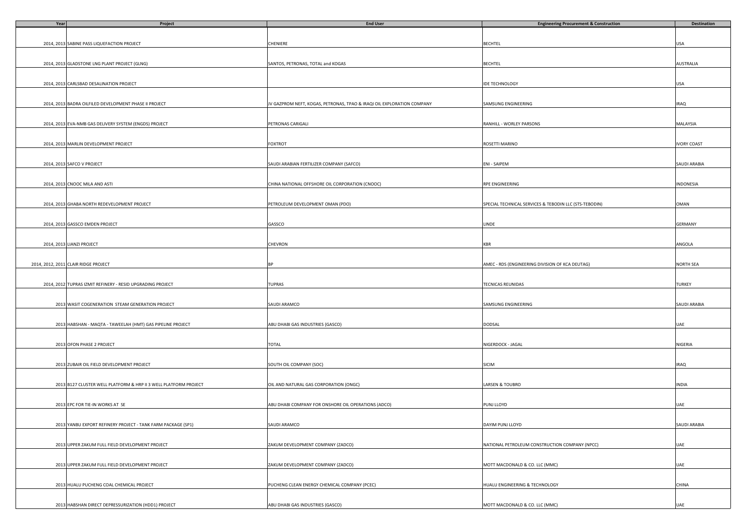| Year | Project                                                          | <b>End User</b>                                                        | <b>Engineering Procurement &amp; Construction</b>      | Destination        |
|------|------------------------------------------------------------------|------------------------------------------------------------------------|--------------------------------------------------------|--------------------|
|      |                                                                  |                                                                        |                                                        |                    |
|      |                                                                  |                                                                        |                                                        |                    |
|      | 2014, 2013 SABINE PASS LIQUEFACTION PROJECT                      | CHENIERE                                                               | <b>BECHTEL</b>                                         | USA                |
|      |                                                                  |                                                                        |                                                        |                    |
|      |                                                                  |                                                                        |                                                        |                    |
|      | 2014, 2013 GLADSTONE LNG PLANT PROJECT (GLNG)                    | SANTOS, PETRONAS, TOTAL and KOGAS                                      | <b>BECHTEL</b>                                         | AUSTRALIA          |
|      |                                                                  |                                                                        |                                                        |                    |
|      |                                                                  |                                                                        |                                                        |                    |
|      | 2014, 2013 CARLSBAD DESALINATION PROJECT                         |                                                                        | <b>IDE TECHNOLOGY</b>                                  | USA                |
|      |                                                                  |                                                                        |                                                        |                    |
|      |                                                                  |                                                                        |                                                        |                    |
|      | 2014, 2013 BADRA OILFILED DEVELOPMENT PHASE II PROJECT           | JV GAZPROM NEFT, KOGAS, PETRONAS, TPAO & IRAQI OIL EXPLORATION COMPANY | SAMSUNG ENGINEERING                                    | <b>IRAQ</b>        |
|      |                                                                  |                                                                        |                                                        |                    |
|      |                                                                  |                                                                        |                                                        |                    |
|      | 2014, 2013 EVA-NMB GAS DELIVERY SYSTEM (ENGDS) PROJECT           | PETRONAS CARIGALI                                                      | RANHILL - WORLEY PARSONS                               | MALAYSIA           |
|      |                                                                  |                                                                        |                                                        |                    |
|      | 2014, 2013 MARLIN DEVELOPMENT PROJECT                            | <b>FOXTROT</b>                                                         | ROSETTI MARINO                                         | <b>IVORY COAST</b> |
|      |                                                                  |                                                                        |                                                        |                    |
|      |                                                                  |                                                                        |                                                        |                    |
|      | 2014, 2013 SAFCO V PROJECT                                       | SAUDI ARABIAN FERTILIZER COMPANY (SAFCO)                               | ENI - SAIPEM                                           | SAUDI ARABIA       |
|      |                                                                  |                                                                        |                                                        |                    |
|      |                                                                  |                                                                        |                                                        |                    |
|      | 2014, 2013 CNOOC MILA AND ASTI                                   | CHINA NATIONAL OFFSHORE OIL CORPORATION (CNOOC)                        | RPE ENGINEERING                                        | INDONESIA          |
|      |                                                                  |                                                                        |                                                        |                    |
|      |                                                                  |                                                                        |                                                        |                    |
|      | 2014, 2013 GHABA NORTH REDEVELOPMENT PROJECT                     | PETROLEUM DEVELOPMENT OMAN (PDO)                                       | SPECIAL TECHNICAL SERVICES & TEBODIN LLC (STS-TEBODIN) | OMAN               |
|      |                                                                  |                                                                        |                                                        |                    |
|      |                                                                  |                                                                        |                                                        |                    |
|      | 2014, 2013 GASSCO EMDEN PROJECT                                  | GASSCO                                                                 | LINDE                                                  | <b>GERMANY</b>     |
|      |                                                                  |                                                                        |                                                        |                    |
|      |                                                                  |                                                                        |                                                        |                    |
|      | 2014, 2013 LIANZI PROJECT                                        | CHEVRON                                                                | <b>KBR</b>                                             | ANGOLA             |
|      |                                                                  |                                                                        |                                                        |                    |
|      |                                                                  |                                                                        |                                                        |                    |
|      | 2014, 2012, 2011 CLAIR RIDGE PROJECT                             | <b>BP</b>                                                              | AMEC - RDS (ENGINEERING DIVISION OF KCA DEUTAG)        | <b>NORTH SEA</b>   |
|      |                                                                  |                                                                        |                                                        |                    |
|      |                                                                  |                                                                        |                                                        |                    |
|      | 2014, 2012 TUPRAS IZMIT REFINERY - RESID UPGRADING PROJECT       | TUPRAS                                                                 | TECNICAS REUNIDAS                                      | TURKEY             |
|      |                                                                  |                                                                        |                                                        |                    |
|      |                                                                  |                                                                        |                                                        |                    |
|      | 2013 WASIT COGENERATION STEAM GENERATION PROJECT                 | SAUDI ARAMCO                                                           | SAMSUNG ENGINEERING                                    | SAUDI ARABIA       |
|      |                                                                  |                                                                        |                                                        |                    |
|      | 2013 HABSHAN - MAQTA - TAWEELAH (HMT) GAS PIPELINE PROJECT       | ABU DHABI GAS INDUSTRIES (GASCO)                                       | DODSAL                                                 | UAE                |
|      |                                                                  |                                                                        |                                                        |                    |
|      |                                                                  |                                                                        |                                                        |                    |
|      | 2013 OFON PHASE 2 PROJECT                                        | TOTAL                                                                  | NIGERDOCK - JAGAL                                      | NIGERIA            |
|      |                                                                  |                                                                        |                                                        |                    |
|      |                                                                  |                                                                        |                                                        |                    |
|      | 2013 ZUBAIR OIL FIELD DEVELOPMENT PROJECT                        | SOUTH OIL COMPANY (SOC)                                                | SICIM                                                  | <b>IRAQ</b>        |
|      |                                                                  |                                                                        |                                                        |                    |
|      |                                                                  |                                                                        |                                                        |                    |
|      | 2013 B127 CLUSTER WELL PLATFORM & HRP II 3 WELL PLATFORM PROJECT | OIL AND NATURAL GAS CORPORATION (ONGC)                                 | LARSEN & TOUBRO                                        | <b>INDIA</b>       |
|      |                                                                  |                                                                        |                                                        |                    |
|      |                                                                  |                                                                        |                                                        |                    |
|      | 2013 EPC FOR TIE-IN WORKS AT SE                                  | ABU DHABI COMPANY FOR ONSHORE OIL OPERATIONS (ADCO)                    | PUNJ LLOYD                                             | UAE                |
|      |                                                                  |                                                                        |                                                        |                    |
|      |                                                                  |                                                                        |                                                        |                    |
|      | 2013 YANBU EXPORT REFINERY PROJECT - TANK FARM PACKAGE (SP1)     | SAUDI ARAMCO                                                           | DAYIM PUNJ LLOYD                                       | SAUDI ARABIA       |
|      |                                                                  |                                                                        |                                                        |                    |
|      |                                                                  |                                                                        |                                                        |                    |
|      | 2013 UPPER ZAKUM FULL FIELD DEVELOPMENT PROJECT                  | ZAKUM DEVELOPMENT COMPANY (ZADCO)                                      | NATIONAL PETROLEUM CONSTRUCTION COMPANY (NPCC)         | UAE                |
|      |                                                                  |                                                                        |                                                        |                    |
|      |                                                                  |                                                                        |                                                        |                    |
|      | 2013 UPPER ZAKUM FULL FIELD DEVELOPMENT PROJECT                  | ZAKUM DEVELOPMENT COMPANY (ZADCO)                                      | MOTT MACDONALD & CO. LLC (MMC)                         | UAE                |
|      |                                                                  |                                                                        |                                                        |                    |
|      |                                                                  |                                                                        | HUALU ENGINEERING & TECHNOLOGY                         |                    |
|      | 2013 HUALU PUCHENG COAL CHEMICAL PROJECT                         | PUCHENG CLEAN ENERGY CHEMICAL COMPANY (PCEC)                           |                                                        | CHINA              |
|      |                                                                  |                                                                        |                                                        |                    |
|      | 2013 HABSHAN DIRECT DEPRESSURIZATION (HDD1) PROJECT              | ABU DHABI GAS INDUSTRIES (GASCO)                                       | MOTT MACDONALD & CO. LLC (MMC)                         | UAE                |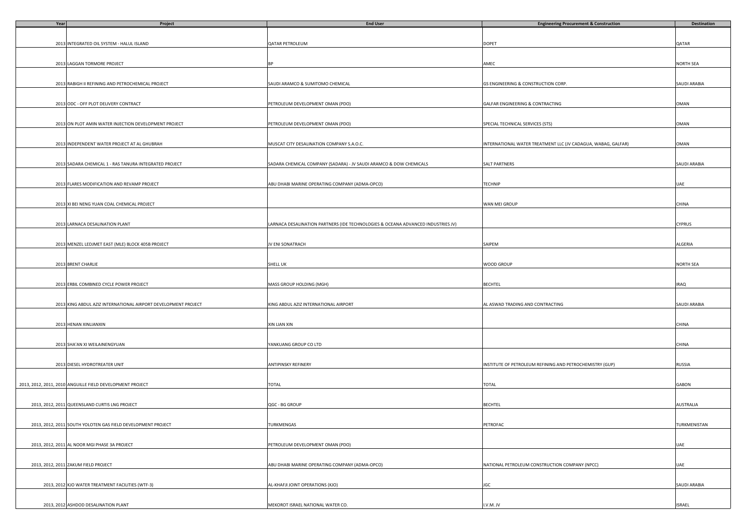| Year | Project                                                        | <b>End User</b>                                                                  | <b>Engineering Procurement &amp; Construction</b>             | Destination   |
|------|----------------------------------------------------------------|----------------------------------------------------------------------------------|---------------------------------------------------------------|---------------|
|      |                                                                |                                                                                  |                                                               |               |
|      |                                                                |                                                                                  |                                                               |               |
|      | 2013 INTEGRATED OIL SYSTEM - HALUL ISLAND                      | QATAR PETROLEUM                                                                  | DOPET                                                         | QATAR         |
|      |                                                                |                                                                                  |                                                               |               |
|      |                                                                |                                                                                  |                                                               |               |
|      | 2013 LAGGAN TORMORE PROJECT                                    | BF                                                                               | AMEC                                                          | NORTH SEA     |
|      |                                                                |                                                                                  |                                                               |               |
|      |                                                                |                                                                                  |                                                               |               |
|      | 2013 RABIGH II REFINING AND PETROCHEMICAL PROJECT              | SAUDI ARAMCO & SUMITOMO CHEMICAL                                                 | <b>GS ENGINEERING &amp; CONSTRUCTION CORP</b>                 | SAUDI ARABIA  |
|      |                                                                |                                                                                  |                                                               |               |
|      |                                                                |                                                                                  |                                                               |               |
|      | 2013 ODC - OFF PLOT DELIVERY CONTRACT                          | PETROLEUM DEVELOPMENT OMAN (PDO)                                                 | GALFAR ENGINEERING & CONTRACTING                              | OMAN          |
|      |                                                                |                                                                                  |                                                               |               |
|      |                                                                |                                                                                  |                                                               |               |
|      | 2013 ON PLOT AMIN WATER INJECTION DEVELOPMENT PROJECT          | PETROLEUM DEVELOPMENT OMAN (PDO)                                                 | SPECIAL TECHNICAL SERVICES (STS)                              | OMAN          |
|      |                                                                |                                                                                  |                                                               |               |
|      |                                                                | MUSCAT CITY DESALINATION COMPANY S.A.O.C.                                        |                                                               | OMAN          |
|      | 2013 INDEPENDENT WATER PROJECT AT AL GHUBRAH                   |                                                                                  | INTERNATIONAL WATER TREATMENT LLC (JV CADAGUA, WABAG, GALFAR) |               |
|      |                                                                |                                                                                  |                                                               |               |
|      |                                                                | SADARA CHEMICAL COMPANY (SADARA) - JV SAUDI ARAMCO & DOW CHEMICALS               | SALT PARTNERS                                                 | SAUDI ARABIA  |
|      | 2013 SADARA CHEMICAL 1 - RAS TANURA INTEGRATED PROJECT         |                                                                                  |                                                               |               |
|      |                                                                |                                                                                  |                                                               |               |
|      | 2013 FLARES MODIFICATION AND REVAMP PROJECT                    | ABU DHABI MARINE OPERATING COMPANY (ADMA-OPCO)                                   | TECHNIP                                                       | UAE           |
|      |                                                                |                                                                                  |                                                               |               |
|      |                                                                |                                                                                  |                                                               |               |
|      | 2013 XI BEI NENG YUAN COAL CHEMICAL PROJECT                    |                                                                                  | WAN MEI GROUP                                                 | CHINA         |
|      |                                                                |                                                                                  |                                                               |               |
|      |                                                                |                                                                                  |                                                               |               |
|      | 2013 LARNACA DESALINATION PLANT                                | LARNACA DESALINATION PARTNERS (IDE TECHNOLOGIES & OCEANA ADVANCED INDUSTRIES JV) |                                                               | <b>CYPRUS</b> |
|      |                                                                |                                                                                  |                                                               |               |
|      |                                                                |                                                                                  |                                                               |               |
|      | 2013 MENZEL LEDJMET EAST (MLE) BLOCK 405B PROJECT              | JV ENI SONATRACH                                                                 | SAIPEM                                                        | ALGERIA       |
|      |                                                                |                                                                                  |                                                               |               |
|      |                                                                |                                                                                  |                                                               |               |
|      | 2013 BRENT CHARLIE                                             | <b>SHELL UK</b>                                                                  | WOOD GROUP                                                    | NORTH SEA     |
|      |                                                                |                                                                                  |                                                               |               |
|      |                                                                |                                                                                  |                                                               |               |
|      | 2013 ERBIL COMBINED CYCLE POWER PROJECT                        | MASS GROUP HOLDING (MGH)                                                         | BECHTEL                                                       | <b>IRAQ</b>   |
|      |                                                                |                                                                                  |                                                               |               |
|      |                                                                |                                                                                  |                                                               |               |
|      | 2013 KING ABDUL AZIZ INTERNATIONAL AIRPORT DEVELOPMENT PROJECT | KING ABDUL AZIZ INTERNATIONAL AIRPORT                                            | AL ASWAD TRADING AND CONTRACTING                              | SAUDI ARABIA  |
|      |                                                                |                                                                                  |                                                               |               |
|      |                                                                |                                                                                  |                                                               |               |
|      | 2013 HENAN XINLIANXIN                                          | XIN LIAN XIN                                                                     |                                                               | CHINA         |
|      |                                                                |                                                                                  |                                                               |               |
|      |                                                                |                                                                                  |                                                               |               |
|      | 2013 SHA'AN XI WEILAINENGYUAN                                  | YANKUANG GROUP CO LTD                                                            |                                                               | CHINA         |
|      |                                                                |                                                                                  |                                                               |               |
|      |                                                                |                                                                                  |                                                               |               |
|      | 2013 DIESEL HYDROTREATER UNIT                                  | <b>ANTIPINSKY REFINERY</b>                                                       | INSTITUTE OF PETROLEUM REFINING AND PETROCHEMISTRY (GUP)      | RUSSIA        |
|      |                                                                |                                                                                  |                                                               |               |
|      |                                                                |                                                                                  |                                                               |               |
|      | 2013, 2012, 2011, 2010 ANGUILLE FIELD DEVELOPMENT PROJECT      | TOTAL                                                                            | TOTAL                                                         | GABON         |
|      |                                                                |                                                                                  |                                                               |               |
|      |                                                                |                                                                                  |                                                               |               |
|      | 2013, 2012, 2011 QUEENSLAND CURTIS LNG PROJECT                 | QGC - BG GROUP                                                                   | <b>BECHTEL</b>                                                | AUSTRALIA     |
|      |                                                                |                                                                                  |                                                               |               |
|      |                                                                | <b>TURKMENGAS</b>                                                                |                                                               | TURKMENISTAN  |
|      | 2013, 2012, 2011 SOUTH YOLOTEN GAS FIELD DEVELOPMENT PROJECT   |                                                                                  | PETROFAC                                                      |               |
|      |                                                                |                                                                                  |                                                               |               |
|      | 2013, 2012, 2011 AL NOOR MGI PHASE 3A PROJECT                  | PETROLEUM DEVELOPMENT OMAN (PDO)                                                 |                                                               | UAE           |
|      |                                                                |                                                                                  |                                                               |               |
|      |                                                                |                                                                                  |                                                               |               |
|      |                                                                |                                                                                  | NATIONAL PETROLEUM CONSTRUCTION COMPANY (NPCC)                |               |
|      | 2013, 2012, 2011 ZAKUM FIELD PROJECT                           | ABU DHABI MARINE OPERATING COMPANY (ADMA-OPCO)                                   |                                                               | UAE           |
|      |                                                                |                                                                                  |                                                               |               |
|      | 2013, 2012 KJO WATER TREATMENT FACILITIES (WTF-3)              | AL-KHAFJI JOINT OPERATIONS (KJO)                                                 | JGC                                                           | SAUDI ARABIA  |
|      |                                                                |                                                                                  |                                                               |               |
|      |                                                                |                                                                                  |                                                               |               |
|      | 2013, 2012 ASHDOD DESALINATION PLANT                           | MEKOROT ISRAEL NATIONAL WATER CO.                                                | I.V.M.JV                                                      | <b>ISRAEL</b> |
|      |                                                                |                                                                                  |                                                               |               |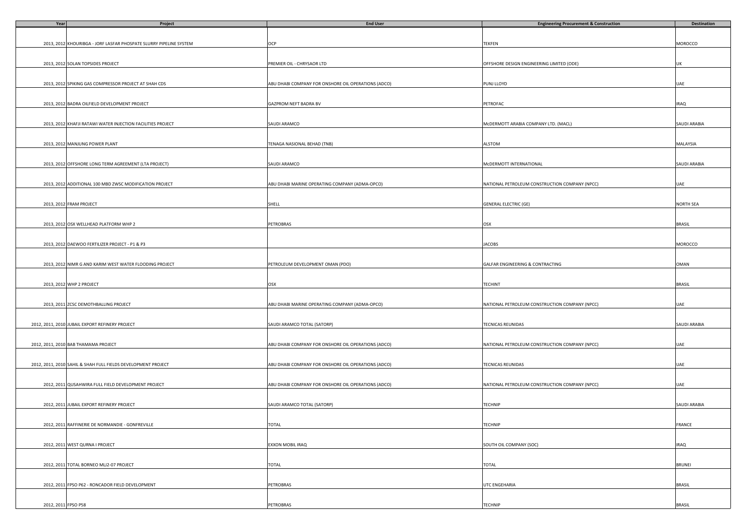| Year                | Project                                                            | <b>End User</b>                                     | <b>Engineering Procurement &amp; Construction</b> | <b>Destination</b> |
|---------------------|--------------------------------------------------------------------|-----------------------------------------------------|---------------------------------------------------|--------------------|
|                     |                                                                    |                                                     |                                                   |                    |
|                     |                                                                    |                                                     |                                                   |                    |
|                     | 2013, 2012 KHOURIBGA - JORF LASFAR PHOSPATE SLURRY PIPELINE SYSTEM | OCP                                                 | TEKFEN                                            | MOROCCO            |
|                     |                                                                    |                                                     |                                                   |                    |
|                     |                                                                    |                                                     |                                                   |                    |
|                     | 2013, 2012 SOLAN TOPSIDES PROJECT                                  | PREMIER OIL - CHRYSAOR LTD                          | OFFSHORE DESIGN ENGINEERING LIMITED (ODE)         | UK                 |
|                     |                                                                    |                                                     |                                                   |                    |
|                     |                                                                    |                                                     |                                                   |                    |
|                     | 2013, 2012 SPIKING GAS COMPRESSOR PROJECT AT SHAH CDS              | ABU DHABI COMPANY FOR ONSHORE OIL OPERATIONS (ADCO) | PUNJ LLOYD                                        | UAE                |
|                     |                                                                    |                                                     |                                                   |                    |
|                     |                                                                    |                                                     |                                                   |                    |
|                     | 2013, 2012 BADRA OILFIELD DEVELOPMENT PROJECT                      | GAZPROM NEFT BADRA BV                               | PETROFAC                                          | <b>IRAQ</b>        |
|                     |                                                                    |                                                     |                                                   |                    |
|                     |                                                                    |                                                     |                                                   |                    |
|                     | 2013, 2012 KHAFJI RATAWI WATER INJECTION FACILITIES PROJECT        | SAUDI ARAMCO                                        | MCDERMOTT ARABIA COMPANY LTD. (MACL)              | SAUDI ARABIA       |
|                     |                                                                    |                                                     |                                                   |                    |
|                     | 2013, 2012 MANJUNG POWER PLANT                                     |                                                     | ALSTOM                                            |                    |
|                     |                                                                    | TENAGA NASIONAL BEHAD (TNB)                         |                                                   | MALAYSIA           |
|                     |                                                                    |                                                     |                                                   |                    |
|                     | 2013, 2012 OFFSHORE LONG TERM AGREEMENT (LTA PROJECT)              | SAUDI ARAMCO                                        | MCDERMOTT INTERNATIONAL                           | SAUDI ARABIA       |
|                     |                                                                    |                                                     |                                                   |                    |
|                     |                                                                    |                                                     |                                                   |                    |
|                     | 2013, 2012 ADDITIONAL 100 MBD ZWSC MODIFICATION PROJECT            | ABU DHABI MARINE OPERATING COMPANY (ADMA-OPCO)      | NATIONAL PETROLEUM CONSTRUCTION COMPANY (NPCC)    | UAE                |
|                     |                                                                    |                                                     |                                                   |                    |
|                     |                                                                    |                                                     |                                                   |                    |
|                     | 2013, 2012 FRAM PROJECT                                            | SHELL                                               | <b>GENERAL ELECTRIC (GE)</b>                      | NORTH SEA          |
|                     |                                                                    |                                                     |                                                   |                    |
|                     |                                                                    |                                                     |                                                   |                    |
|                     | 2013, 2012 OSX WELLHEAD PLATFORM WHP 2                             | PETROBRAS                                           | OSX                                               | <b>BRASIL</b>      |
|                     |                                                                    |                                                     |                                                   |                    |
|                     |                                                                    |                                                     |                                                   |                    |
|                     | 2013, 2012 DAEWOO FERTILIZER PROJECT - P1 & P3                     |                                                     | <b>JACOBS</b>                                     | MOROCCO            |
|                     |                                                                    |                                                     |                                                   |                    |
|                     |                                                                    |                                                     |                                                   |                    |
|                     | 2013, 2012 NIMR G AND KARIM WEST WATER FLOODING PROJECT            | PETROLEUM DEVELOPMENT OMAN (PDO)                    | GALFAR ENGINEERING & CONTRACTING                  | OMAN               |
|                     |                                                                    |                                                     |                                                   |                    |
|                     |                                                                    |                                                     |                                                   |                    |
|                     | 2013, 2012 WHP 2 PROJECT                                           | OSX                                                 | TECHINT                                           | <b>BRASIL</b>      |
|                     |                                                                    |                                                     |                                                   |                    |
|                     |                                                                    |                                                     |                                                   |                    |
|                     | 2013, 2011 ZCSC DEMOTHBALLING PROJECT                              | ABU DHABI MARINE OPERATING COMPANY (ADMA-OPCO)      | NATIONAL PETROLEUM CONSTRUCTION COMPANY (NPCC)    | UAE                |
|                     |                                                                    |                                                     |                                                   |                    |
|                     |                                                                    |                                                     |                                                   |                    |
|                     | 2012, 2011, 2010 JUBAIL EXPORT REFINERY PROJECT                    | SAUDI ARAMCO TOTAL (SATORP)                         | TECNICAS REUNIDAS                                 | SAUDI ARABIA       |
|                     |                                                                    |                                                     |                                                   |                    |
|                     |                                                                    |                                                     |                                                   |                    |
|                     | 2012, 2011, 2010 BAB THAMAMA PROJECT                               | ABU DHABI COMPANY FOR ONSHORE OIL OPERATIONS (ADCO) | NATIONAL PETROLEUM CONSTRUCTION COMPANY (NPCC)    | UAE                |
|                     |                                                                    |                                                     |                                                   |                    |
|                     |                                                                    |                                                     |                                                   |                    |
|                     | 2012, 2011, 2010 SAHIL & SHAH FULL FIELDS DEVELOPMENT PROJECT      | ABU DHABI COMPANY FOR ONSHORE OIL OPERATIONS (ADCO) | TECNICAS REUNIDAS                                 | UAE                |
|                     |                                                                    |                                                     |                                                   |                    |
|                     |                                                                    |                                                     |                                                   |                    |
|                     | 2012, 2011 QUSAHWIRA FULL FIELD DEVELOPMENT PROJECT                | ABU DHABI COMPANY FOR ONSHORE OIL OPERATIONS (ADCO) | NATIONAL PETROLEUM CONSTRUCTION COMPANY (NPCC)    | UAE                |
|                     |                                                                    |                                                     |                                                   |                    |
|                     |                                                                    |                                                     |                                                   |                    |
|                     | 2012, 2011 JUBAIL EXPORT REFINERY PROJECT                          | SAUDI ARAMCO TOTAL (SATORP)                         | TECHNIP                                           | SAUDI ARABIA       |
|                     |                                                                    |                                                     |                                                   |                    |
|                     | 2012, 2011 RAFFINERIE DE NORMANDIE - GONFREVILLE                   | <b>TOTAL</b>                                        | TECHNIP                                           | FRANCE             |
|                     |                                                                    |                                                     |                                                   |                    |
|                     |                                                                    |                                                     |                                                   |                    |
|                     | 2012, 2011 WEST QURNA I PROJECT                                    | EXXON MOBIL IRAQ                                    | SOUTH OIL COMPANY (SOC)                           | <b>IRAQ</b>        |
|                     |                                                                    |                                                     |                                                   |                    |
|                     |                                                                    |                                                     |                                                   |                    |
|                     | 2012, 2011 TOTAL BORNEO MLJ2-07 PROJECT                            | TOTAL                                               | TOTAL                                             | <b>BRUNEI</b>      |
|                     |                                                                    |                                                     |                                                   |                    |
|                     |                                                                    |                                                     |                                                   |                    |
|                     | 2012, 2011 FPSO P62 - RONCADOR FIELD DEVELOPMENT                   | <b>PETROBRAS</b>                                    | UTC ENGEHARIA                                     | <b>BRASIL</b>      |
|                     |                                                                    |                                                     |                                                   |                    |
|                     |                                                                    |                                                     |                                                   |                    |
| 2012, 2011 FPSO P58 |                                                                    | PETROBRAS                                           | TECHNIP                                           | <b>BRASIL</b>      |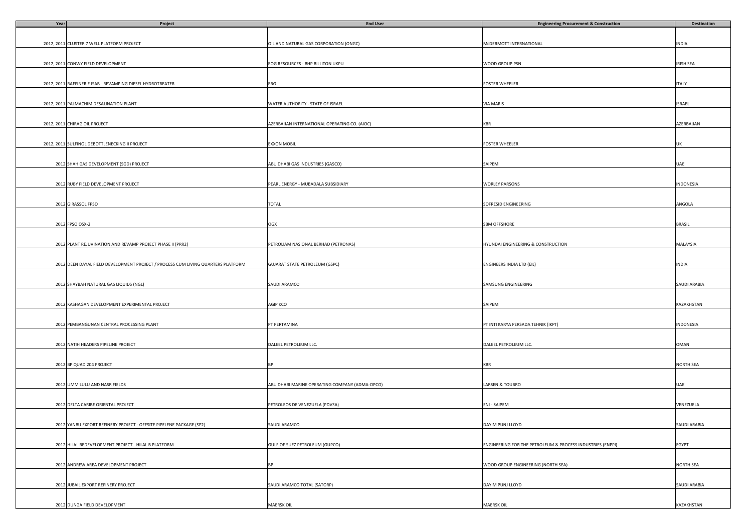| Year | Project                                                                          | <b>End User</b>                                | <b>Engineering Procurement &amp; Construction</b>          | <b>Destination</b> |
|------|----------------------------------------------------------------------------------|------------------------------------------------|------------------------------------------------------------|--------------------|
|      |                                                                                  |                                                |                                                            |                    |
|      |                                                                                  |                                                |                                                            |                    |
|      | 2012, 2011 CLUSTER 7 WELL PLATFORM PROJECT                                       | OIL AND NATURAL GAS CORPORATION (ONGC)         | McDERMOTT INTERNATIONAL                                    | <b>INDIA</b>       |
|      |                                                                                  |                                                |                                                            |                    |
|      |                                                                                  |                                                |                                                            |                    |
|      | 2012, 2011 CONWY FIELD DEVELOPMENT                                               | EOG RESOURCES - BHP BILLITON UKPU              | WOOD GROUP PSN                                             | IRISH SEA          |
|      |                                                                                  |                                                |                                                            |                    |
|      |                                                                                  |                                                |                                                            |                    |
|      | 2012, 2011 RAFFINERIE ISAB - REVAMPING DIESEL HYDROTREATER                       | ERG                                            | FOSTER WHEELER                                             | <b>ITALY</b>       |
|      |                                                                                  |                                                |                                                            |                    |
|      |                                                                                  |                                                |                                                            |                    |
|      | 2012, 2011 PALMACHIM DESALINATION PLANT                                          | WATER AUTHORITY - STATE OF ISRAEL              | <b>VIA MARIS</b>                                           | ISRAEL             |
|      |                                                                                  |                                                |                                                            |                    |
|      |                                                                                  |                                                |                                                            |                    |
|      | 2012, 2011 CHIRAG OIL PROJECT                                                    | AZERBAIJAN INTERNATIONAL OPERATING CO. (AIOC)  |                                                            | AZERBAIJAN         |
|      |                                                                                  |                                                | KBR                                                        |                    |
|      |                                                                                  |                                                |                                                            |                    |
|      |                                                                                  |                                                |                                                            |                    |
|      | 2012, 2011 SULFINOL DEBOTTLENECKING II PROJECT                                   | <b>EXXON MOBIL</b>                             | FOSTER WHEELER                                             | UK                 |
|      |                                                                                  |                                                |                                                            |                    |
|      |                                                                                  |                                                |                                                            |                    |
|      | 2012 SHAH GAS DEVELOPMENT (SGD) PROJECT                                          | ABU DHABI GAS INDUSTRIES (GASCO)               | SAIPEM                                                     | UAE                |
|      |                                                                                  |                                                |                                                            |                    |
|      |                                                                                  |                                                |                                                            |                    |
|      | 2012 RUBY FIELD DEVELOPMENT PROJECT                                              | PEARL ENERGY - MUBADALA SUBSIDIARY             | <b>WORLEY PARSONS</b>                                      | INDONESIA          |
|      |                                                                                  |                                                |                                                            |                    |
|      |                                                                                  |                                                |                                                            |                    |
|      | 2012 GIRASSOL FPSO                                                               | <b>TOTAL</b>                                   | SOFRESID ENGINEERING                                       | ANGOLA             |
|      |                                                                                  |                                                |                                                            |                    |
|      |                                                                                  |                                                |                                                            |                    |
|      | 2012 FPSO OSX-2                                                                  | OGX                                            | SBM OFFSHORE                                               | <b>BRASIL</b>      |
|      |                                                                                  |                                                |                                                            |                    |
|      |                                                                                  |                                                |                                                            |                    |
|      |                                                                                  |                                                |                                                            |                    |
|      | 2012 PLANT REJUVINATION AND REVAMP PROJECT PHASE II (PRR2)                       | PETROLIAM NASIONAL BERHAD (PETRONAS)           | HYUNDAI ENGINEERING & CONSTRUCTION                         | MALAYSIA           |
|      |                                                                                  |                                                |                                                            |                    |
|      |                                                                                  |                                                |                                                            |                    |
|      | 2012 DEEN DAYAL FIELD DEVELOPMENT PROJECT / PROCESS CUM LIVING QUARTERS PLATFORM | <b>GUJARAT STATE PETROLEUM (GSPC)</b>          | ENGINEERS INDIA LTD (EIL)                                  | INDIA              |
|      |                                                                                  |                                                |                                                            |                    |
|      |                                                                                  |                                                |                                                            |                    |
|      | 2012 SHAYBAH NATURAL GAS LIQUIDS (NGL)                                           | SAUDI ARAMCO                                   | SAMSUNG ENGINEERING                                        | SAUDI ARABIA       |
|      |                                                                                  |                                                |                                                            |                    |
|      |                                                                                  |                                                |                                                            |                    |
|      | 2012 KASHAGAN DEVELOPMENT EXPERIMENTAL PROJECT                                   | AGIP KCO                                       | SAIPEM                                                     | KAZAKHSTAN         |
|      |                                                                                  |                                                |                                                            |                    |
|      |                                                                                  |                                                |                                                            |                    |
|      |                                                                                  |                                                |                                                            |                    |
|      | 2012 PEMBANGUNAN CENTRAL PROCESSING PLANT                                        | PT PERTAMINA                                   | PT INTI KARYA PERSADA TEHNIK (IKPT)                        | INDONESIA          |
|      |                                                                                  |                                                |                                                            |                    |
|      |                                                                                  |                                                |                                                            |                    |
|      | 2012 NATIH HEADERS PIPELINE PROJECT                                              | DALEEL PETROLEUM LLC.                          | DALEEL PETROLEUM LLC.                                      | OMAN               |
|      |                                                                                  |                                                |                                                            |                    |
|      |                                                                                  |                                                |                                                            |                    |
|      | 2012 BP QUAD 204 PROJECT                                                         | <b>BP</b>                                      | KBR                                                        | NORTH SEA          |
|      |                                                                                  |                                                |                                                            |                    |
|      |                                                                                  |                                                |                                                            |                    |
|      | 2012 UMM LULU AND NASR FIELDS                                                    | ABU DHABI MARINE OPERATING COMPANY (ADMA-OPCO) | LARSEN & TOUBRO                                            | UAE                |
|      |                                                                                  |                                                |                                                            |                    |
|      |                                                                                  |                                                |                                                            |                    |
|      | 2012 DELTA CARIBE ORIENTAL PROJECT                                               | PETROLEOS DE VENEZUELA (PDVSA)                 | ENI - SAIPEM                                               | VENEZUELA          |
|      |                                                                                  |                                                |                                                            |                    |
|      |                                                                                  |                                                |                                                            |                    |
|      |                                                                                  |                                                |                                                            |                    |
|      | 2012 YANBU EXPORT REFINERY PROJECT - OFFSITE PIPELENE PACKAGE (SP2)              | SAUDI ARAMCO                                   | DAYIM PUNJ LLOYD                                           | SAUDI ARABIA       |
|      |                                                                                  |                                                |                                                            |                    |
|      |                                                                                  |                                                |                                                            |                    |
|      | 2012 HILAL REDEVELOPMENT PROJECT - HILAL B PLATFORM                              | GULF OF SUEZ PETROLEUM (GUPCO)                 | ENGINEERING FOR THE PETROLEUM & PROCESS INDUSTRIES (ENPPI) | EGYPT              |
|      |                                                                                  |                                                |                                                            |                    |
|      |                                                                                  |                                                |                                                            |                    |
|      | 2012 ANDREW AREA DEVELOPMENT PROJECT                                             | <b>RF</b>                                      | WOOD GROUP ENGINEERING (NORTH SEA)                         | <b>NORTH SEA</b>   |
|      |                                                                                  |                                                |                                                            |                    |
|      |                                                                                  |                                                |                                                            |                    |
|      | 2012 JUBAIL EXPORT REFINERY PROJECT                                              | SAUDI ARAMCO TOTAL (SATORP)                    | DAYIM PUNJ LLOYD                                           | SAUDI ARABIA       |
|      |                                                                                  |                                                |                                                            |                    |
|      |                                                                                  |                                                |                                                            |                    |
|      | 2012 DUNGA FIELD DEVELOPMENT                                                     | <b>MAERSK OIL</b>                              | MAERSK OIL                                                 | KAZAKHSTAN         |
|      |                                                                                  |                                                |                                                            |                    |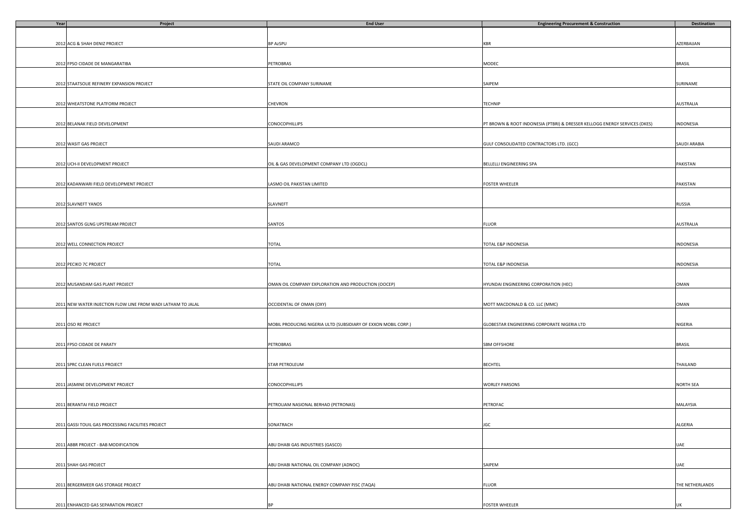| Year | Project                                                      | <b>End User</b>                                                | <b>Engineering Procurement &amp; Construction</b>                          | <b>Destination</b> |
|------|--------------------------------------------------------------|----------------------------------------------------------------|----------------------------------------------------------------------------|--------------------|
|      |                                                              |                                                                |                                                                            |                    |
|      |                                                              |                                                                |                                                                            |                    |
|      | 2012 ACG & SHAH DENIZ PROJECT                                | <b>BP AzSPU</b>                                                | KBR                                                                        | AZERBAIJAN         |
|      |                                                              |                                                                |                                                                            |                    |
|      |                                                              |                                                                |                                                                            |                    |
|      | 2012 FPSO CIDADE DE MANGARATIBA                              | <b>PETROBRAS</b>                                               | MODEC                                                                      | <b>BRASIL</b>      |
|      |                                                              |                                                                |                                                                            |                    |
|      |                                                              |                                                                |                                                                            |                    |
|      | 2012 STAATSOLIE REFINERY EXPANSION PROJECT                   |                                                                | SAIPEM                                                                     | SURINAME           |
|      |                                                              | STATE OIL COMPANY SURINAME                                     |                                                                            |                    |
|      |                                                              |                                                                |                                                                            |                    |
|      |                                                              |                                                                |                                                                            |                    |
|      | 2012 WHEATSTONE PLATFORM PROJECT                             | CHEVRON                                                        | TECHNIP                                                                    | <b>AUSTRALIA</b>   |
|      |                                                              |                                                                |                                                                            |                    |
|      |                                                              |                                                                |                                                                            |                    |
|      | 2012 BELANAK FIELD DEVELOPMENT                               | <b>CONOCOPHILLIPS</b>                                          | PT BROWN & ROOT INDONESIA (PTBRI) & DRESSER KELLOGG ENERGY SERVICES (DKES) | INDONESIA          |
|      |                                                              |                                                                |                                                                            |                    |
|      |                                                              |                                                                |                                                                            |                    |
|      | 2012 WASIT GAS PROJECT                                       | SAUDI ARAMCO                                                   | GULF CONSOLIDATED CONTRACTORS LTD. (GCC)                                   | SAUDI ARABIA       |
|      |                                                              |                                                                |                                                                            |                    |
|      |                                                              |                                                                |                                                                            |                    |
|      | 2012 UCH-II DEVELOPMENT PROJECT                              | OIL & GAS DEVELOPMENT COMPANY LTD (OGDCL)                      | BELLELLI ENGINEERING SPA                                                   | PAKISTAN           |
|      |                                                              |                                                                |                                                                            |                    |
|      |                                                              |                                                                |                                                                            |                    |
|      | 2012 KADANWARI FIELD DEVELOPMENT PROJECT                     | LASMO OIL PAKISTAN LIMITED                                     | <b>FOSTER WHEELER</b>                                                      | PAKISTAN           |
|      |                                                              |                                                                |                                                                            |                    |
|      |                                                              |                                                                |                                                                            |                    |
|      | 2012 SLAVNEFT YANOS                                          | SLAVNEFT                                                       |                                                                            | RUSSIA             |
|      |                                                              |                                                                |                                                                            |                    |
|      |                                                              |                                                                |                                                                            |                    |
|      |                                                              |                                                                |                                                                            |                    |
|      | 2012 SANTOS GLNG UPSTREAM PROJECT                            | SANTOS                                                         | <b>FLUOR</b>                                                               | <b>AUSTRALIA</b>   |
|      |                                                              |                                                                |                                                                            |                    |
|      |                                                              |                                                                |                                                                            |                    |
|      | 2012 WELL CONNECTION PROJECT                                 | <b>TOTAL</b>                                                   | TOTAL E&P INDONESIA                                                        | INDONESIA          |
|      |                                                              |                                                                |                                                                            |                    |
|      |                                                              |                                                                |                                                                            |                    |
|      | 2012 PECIKO 7C PROJECT                                       | TOTAL                                                          | TOTAL E&P INDONESIA                                                        | INDONESIA          |
|      |                                                              |                                                                |                                                                            |                    |
|      |                                                              |                                                                |                                                                            |                    |
|      | 2012 MUSANDAM GAS PLANT PROJECT                              | OMAN OIL COMPANY EXPLORATION AND PRODUCTION (OOCEP)            | HYUNDAI ENGINEERING CORPORATION (HEC)                                      | OMAN               |
|      |                                                              |                                                                |                                                                            |                    |
|      |                                                              |                                                                |                                                                            |                    |
|      | 2011 NEW WATER INJECTION FLOW LINE FROM WADI LATHAM TO JALAL | OCCIDENTAL OF OMAN (OXY)                                       | MOTT MACDONALD & CO. LLC (MMC)                                             | OMAN               |
|      |                                                              |                                                                |                                                                            |                    |
|      |                                                              |                                                                |                                                                            |                    |
|      |                                                              |                                                                |                                                                            |                    |
|      | 2011 OSO RE PROJECT                                          | MOBIL PRODUCING NIGERIA ULTD (SUBSIDIARY OF EXXON MOBIL CORP.) | GLOBESTAR ENGINEERING CORPORATE NIGERIA LTD                                | NIGERIA            |
|      |                                                              |                                                                |                                                                            |                    |
|      |                                                              |                                                                |                                                                            |                    |
|      | 2011 FPSO CIDADE DE PARATY                                   | PETROBRAS                                                      | SBM OFFSHORE                                                               | <b>BRASIL</b>      |
|      |                                                              |                                                                |                                                                            |                    |
|      |                                                              |                                                                |                                                                            |                    |
|      | 2011 SPRC CLEAN FUELS PROJECT                                | STAR PETROLEUM                                                 | <b>BECHTEL</b>                                                             | THAILAND           |
|      |                                                              |                                                                |                                                                            |                    |
|      |                                                              |                                                                |                                                                            |                    |
|      | 2011 JASMINE DEVELOPMENT PROJECT                             | <b>CONOCOPHILLIPS</b>                                          | <b>WORLEY PARSONS</b>                                                      | <b>NORTH SEA</b>   |
|      |                                                              |                                                                |                                                                            |                    |
|      |                                                              |                                                                |                                                                            |                    |
|      | 2011 BERANTAI FIELD PROJECT                                  | PETROLIAM NASIONAL BERHAD (PETRONAS)                           | PETROFAC                                                                   | MALAYSIA           |
|      |                                                              |                                                                |                                                                            |                    |
|      |                                                              |                                                                |                                                                            |                    |
|      | 2011 GASSI TOUIL GAS PROCESSING FACILITIES PROJECT           | SONATRACH                                                      | JGC                                                                        | ALGERIA            |
|      |                                                              |                                                                |                                                                            |                    |
|      |                                                              |                                                                |                                                                            |                    |
|      |                                                              |                                                                |                                                                            |                    |
|      | 2011 ABBR PROJECT - BAB MODIFICATION                         | ABU DHABI GAS INDUSTRIES (GASCO)                               |                                                                            | <b>UAE</b>         |
|      |                                                              |                                                                |                                                                            |                    |
|      |                                                              |                                                                |                                                                            |                    |
|      | 2011 SHAH GAS PROJECT                                        | ABU DHABI NATIONAL OIL COMPANY (ADNOC)                         | SAIPEM                                                                     | UAE                |
|      |                                                              |                                                                |                                                                            |                    |
|      |                                                              |                                                                |                                                                            |                    |
|      | 2011 BERGERMEER GAS STORAGE PROJECT                          | ABU DHABI NATIONAL ENERGY COMPANY PJSC (TAQA)                  | <b>FLUOR</b>                                                               | THE NETHERLANDS    |
|      |                                                              |                                                                |                                                                            |                    |
|      |                                                              |                                                                |                                                                            |                    |
|      | 2011 ENHANCED GAS SEPARATION PROJECT                         | <b>BP</b>                                                      | <b>FOSTER WHEELER</b>                                                      |                    |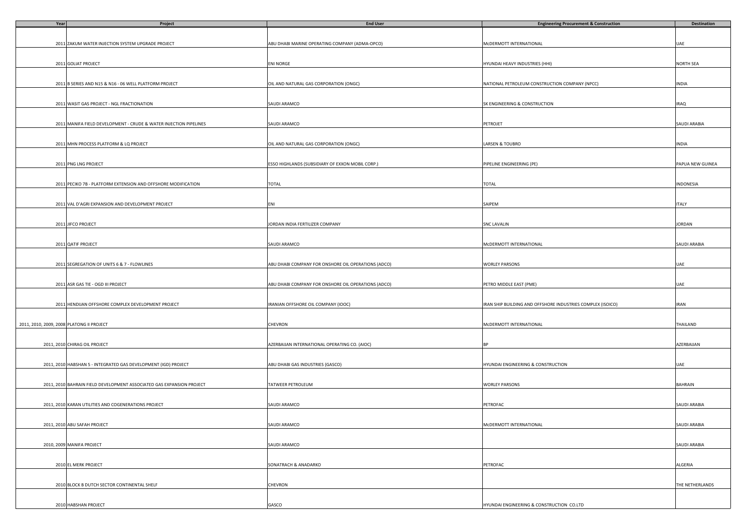| Year                                      | Project                                                               | <b>End User</b>                                     | <b>Engineering Procurement &amp; Construction</b>           | Destination      |
|-------------------------------------------|-----------------------------------------------------------------------|-----------------------------------------------------|-------------------------------------------------------------|------------------|
|                                           |                                                                       |                                                     |                                                             |                  |
|                                           |                                                                       |                                                     |                                                             |                  |
|                                           | 2011 ZAKUM WATER INJECTION SYSTEM UPGRADE PROJECT                     | ABU DHABI MARINE OPERATING COMPANY (ADMA-OPCO)      | MCDERMOTT INTERNATIONAL                                     | UAE              |
|                                           |                                                                       |                                                     |                                                             |                  |
|                                           |                                                                       |                                                     |                                                             |                  |
|                                           | 2011 GOLIAT PROJECT                                                   | <b>ENI NORGE</b>                                    | HYUNDAI HEAVY INDUSTRIES (HHI)                              | NORTH SEA        |
|                                           |                                                                       |                                                     |                                                             |                  |
|                                           |                                                                       |                                                     |                                                             |                  |
|                                           | 2011 B SERIES AND N15 & N16 - 06 WELL PLATFORM PROJECT                | OIL AND NATURAL GAS CORPORATION (ONGC)              | NATIONAL PETROLEUM CONSTRUCTION COMPANY (NPCC)              | INDIA            |
|                                           |                                                                       |                                                     |                                                             |                  |
|                                           |                                                                       |                                                     |                                                             |                  |
|                                           | 2011 WASIT GAS PROJECT - NGL FRACTIONATION                            | SAUDI ARAMCO                                        | SK ENGINEERING & CONSTRUCTION                               | <b>IRAQ</b>      |
|                                           |                                                                       |                                                     |                                                             |                  |
|                                           |                                                                       |                                                     |                                                             |                  |
|                                           | 2011 MANIFA FIELD DEVELOPMENT - CRUDE & WATER INJECTION PIPELINES     | SAUDI ARAMCO                                        | PETROJET                                                    | SAUDI ARABIA     |
|                                           |                                                                       |                                                     |                                                             |                  |
|                                           |                                                                       |                                                     |                                                             |                  |
|                                           | 2011 MHN PROCESS PLATFORM & LQ PROJECT                                | OIL AND NATURAL GAS CORPORATION (ONGC)              | LARSEN & TOUBRO                                             | INDIA            |
|                                           |                                                                       |                                                     |                                                             |                  |
|                                           |                                                                       |                                                     |                                                             |                  |
|                                           | 2011 PNG LNG PROJECT                                                  | ESSO HIGHLANDS (SUBSIDIARY OF EXXON MOBIL CORP.)    | PIPELINE ENGINEERING (PE)                                   | PAPUA NEW GUINEA |
|                                           |                                                                       |                                                     |                                                             |                  |
|                                           | 2011 PECIKO 7B - PLATFORM EXTENSION AND OFFSHORE MODIFICATION         | TOTAL                                               | <b>TOTAL</b>                                                | INDONESIA        |
|                                           |                                                                       |                                                     |                                                             |                  |
|                                           |                                                                       |                                                     |                                                             |                  |
|                                           | 2011 VAL D'AGRI EXPANSION AND DEVELOPMENT PROJECT                     | ENI                                                 | SAIPEM                                                      | <b>ITALY</b>     |
|                                           |                                                                       |                                                     |                                                             |                  |
|                                           |                                                                       |                                                     |                                                             |                  |
|                                           | 2011 JIFCO PROJECT                                                    | JORDAN INDIA FERTILIZER COMPANY                     | <b>SNC LAVALIN</b>                                          | JORDAN           |
|                                           |                                                                       |                                                     |                                                             |                  |
|                                           |                                                                       |                                                     |                                                             |                  |
|                                           | 2011 QATIF PROJECT                                                    | SAUDI ARAMCO                                        | MCDERMOTT INTERNATIONAL                                     | SAUDI ARABIA     |
|                                           |                                                                       |                                                     |                                                             |                  |
|                                           |                                                                       |                                                     |                                                             |                  |
|                                           | 2011 SEGREGATION OF UNITS 6 & 7 - FLOWLINES                           | ABU DHABI COMPANY FOR ONSHORE OIL OPERATIONS (ADCO) | <b>WORLEY PARSONS</b>                                       | UAE              |
|                                           |                                                                       |                                                     |                                                             |                  |
|                                           |                                                                       |                                                     |                                                             |                  |
|                                           | 2011 ASR GAS TIE - OGD III PROJECT                                    | ABU DHABI COMPANY FOR ONSHORE OIL OPERATIONS (ADCO) | PETRO MIDDLE EAST (PME)                                     | UAE              |
|                                           |                                                                       |                                                     |                                                             |                  |
|                                           |                                                                       |                                                     |                                                             |                  |
|                                           | 2011 HENDIJAN OFFSHORE COMPLEX DEVELOPMENT PROJECT                    | IRANIAN OFFSHORE OIL COMPANY (IOOC)                 | IRAN SHIP BUILDING AND OFFSHORE INDUSTRIES COMPLEX (ISOICO) | <b>IRAN</b>      |
|                                           |                                                                       |                                                     |                                                             |                  |
|                                           |                                                                       |                                                     |                                                             |                  |
| 2011, 2010, 2009, 2008 PLATONG II PROJECT |                                                                       | CHEVRON                                             | MCDERMOTT INTERNATIONAL                                     | THAILAND         |
|                                           |                                                                       |                                                     |                                                             |                  |
|                                           |                                                                       |                                                     |                                                             |                  |
|                                           | 2011, 2010 CHIRAG OIL PROJECT                                         | AZERBAIJAN INTERNATIONAL OPERATING CO. (AIOC)       | RP                                                          | AZERBAIJAN       |
|                                           |                                                                       |                                                     |                                                             |                  |
|                                           |                                                                       |                                                     |                                                             |                  |
|                                           | 2011, 2010 HABSHAN 5 - INTEGRATED GAS DEVELOPMENT (IGD) PROJECT       | ABU DHABI GAS INDUSTRIES (GASCO)                    | HYUNDAI ENGINEERING & CONSTRUCTION                          | UAE              |
|                                           |                                                                       |                                                     |                                                             |                  |
|                                           |                                                                       |                                                     |                                                             |                  |
|                                           | 2011, 2010 BAHRAIN FIELD DEVELOPMENT ASSOCIATED GAS EXPANSION PROJECT | TATWEER PETROLEUM                                   | WORLEY PARSONS                                              | <b>BAHRAIN</b>   |
|                                           |                                                                       |                                                     |                                                             |                  |
|                                           | 2011, 2010 KARAN UTILITIES AND COGENERATIONS PROJECT                  | SAUDI ARAMCO                                        | PETROFAC                                                    | SAUDI ARABIA     |
|                                           |                                                                       |                                                     |                                                             |                  |
|                                           |                                                                       |                                                     |                                                             |                  |
|                                           | 2011, 2010 ABU SAFAH PROJECT                                          | SAUDI ARAMCO                                        | McDERMOTT INTERNATIONAL                                     | SAUDI ARABIA     |
|                                           |                                                                       |                                                     |                                                             |                  |
|                                           |                                                                       |                                                     |                                                             |                  |
|                                           | 2010, 2009 MANIFA PROJECT                                             | SAUDI ARAMCO                                        |                                                             | SAUDI ARABIA     |
|                                           |                                                                       |                                                     |                                                             |                  |
|                                           |                                                                       |                                                     |                                                             |                  |
|                                           | 2010 EL MERK PROJECT                                                  | SONATRACH & ANADARKO                                | PETROFAC                                                    | ALGERIA          |
|                                           |                                                                       |                                                     |                                                             |                  |
|                                           |                                                                       |                                                     |                                                             |                  |
|                                           | 2010 BLOCK B DUTCH SECTOR CONTINENTAL SHELF                           | CHEVRON                                             |                                                             | THE NETHERLANDS  |
|                                           |                                                                       |                                                     |                                                             |                  |
|                                           |                                                                       |                                                     |                                                             |                  |
|                                           | 2010 HABSHAN PROJECT                                                  | GASCO                                               | HYUNDAI ENGINEERING & CONSTRUCTION CO.LTD                   |                  |